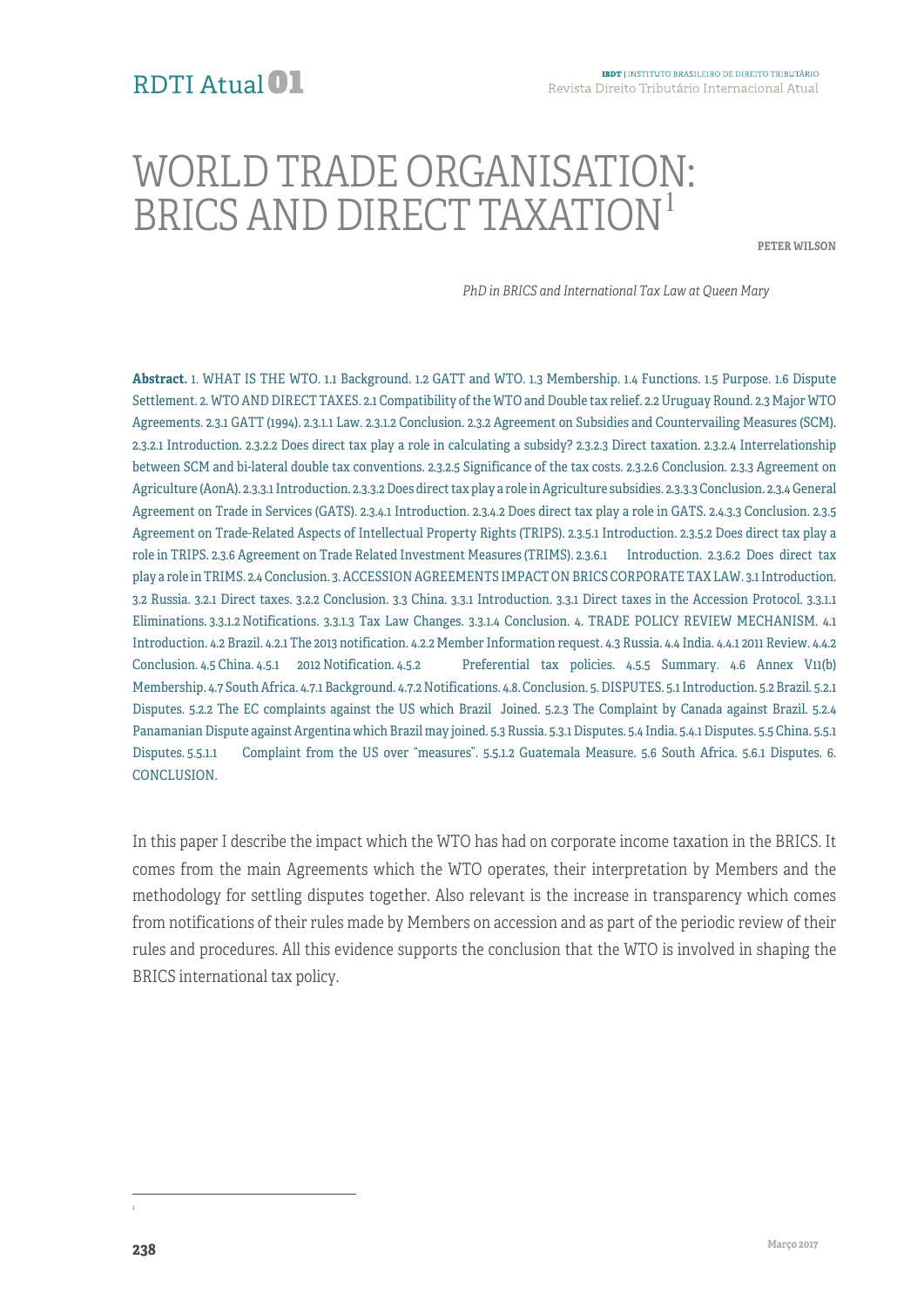### RDTI Atual01

# WORLD TRADE ORGANISATION: BRICS AND DIRECT TAXATION<sup>1</sup>

**PETER WILSON**

*PhD in BRICS and International Tax Law at Queen Mary*

**Abstract.** 1. WHAT IS THE WTO. 1.1 Background. 1.2 GATT and WTO. 1.3 Membership. 1.4 Functions. 1.5 Purpose. 1.6 Dispute Settlement. 2. WTO AND DIRECT TAXES. 2.1 Compatibility of the WTO and Double tax relief. 2.2 Uruguay Round. 2.3 Major WTO Agreements. 2.3.1 GATT (1994). 2.3.1.1 Law. 2.3.1.2 Conclusion. 2.3.2 Agreement on Subsidies and Countervailing Measures (SCM). 2.3.2.1 Introduction. 2.3.2.2 Does direct tax play a role in calculating a subsidy? 2.3.2.3 Direct taxation. 2.3.2.4 Interrelationship between SCM and bi-lateral double tax conventions. 2.3.2.5 Significance of the tax costs. 2.3.2.6 Conclusion. 2.3.3 Agreement on Agriculture (AonA). 2.3.3.1 Introduction. 2.3.3.2Does direct tax play a role in Agriculture subsidies. 2.3.3.3 Conclusion. 2.3.4 General Agreement on Trade in Services (GATS). 2.3.4.1 Introduction. 2.3.4.2 Does direct tax play a role in GATS. 2.4.3.3 Conclusion. 2.3.5 Agreement on Trade-Related Aspects of Intellectual Property Rights (TRIPS). 2.3.5.1 Introduction. 2.3.5.2 Does direct tax play a role in TRIPS. 2.3.6 Agreement on Trade Related Investment Measures (TRIMS). 2.3.6.1 Introduction. 2.3.6.2 Does direct tax play a role in TRIMS. 2.4 Conclusion. 3.ACCESSION AGREEMENTS IMPACT ON BRICS CORPORATE TAX LAW. 3.1 Introduction. 3.2 Russia. 3.2.1 Direct taxes. 3.2.2 Conclusion. 3.3 China. 3.3.1 Introduction. 3.3.1 Direct taxes in the Accession Protocol. 3.3.1.1 Eliminations. 3.3.1.2 Notifications. 3.3.1.3 Tax Law Changes. 3.3.1.4 Conclusion. 4. TRADE POLICY REVIEW MECHANISM. 4.1 Introduction. 4.2 Brazil. 4.2.1 The 2013 notification. 4.2.2 Member Information request. 4.3 Russia. 4.4 India. 4.4.1 2011 Review. 4.4.2 Conclusion. 4.5 China. 4.5.1 2012 Notification. 4.5.2 Preferential tax policies. 4.5.5 Summary. 4.6 Annex V11(b) Membership. 4.7 South Africa. 4.7.1 Background. 4.7.2 Notifications. 4.8. Conclusion. 5.DISPUTES. 5.1 Introduction. 5.2 Brazil. 5.2.1 Disputes. 5.2.2 The EC complaints against the US which Brazil Joined. 5.2.3 The Complaint by Canada against Brazil. 5.2.4 Panamanian Dispute against Argentina which Brazil may joined. 5.3 Russia. 5.3.1Disputes. 5.4 India. 5.4.1 Disputes. 5.5 China. 5.5.1 Disputes. 5.5.1.1 Complaint from the US over "measures". 5.5.1.2 Guatemala Measure. 5.6 South Africa. 5.6.1 Disputes. 6. CONCLUSION.

In this paper I describe the impact which the WTO has had on corporate income taxation in the BRICS. It comes from the main Agreements which the WTO operates, their interpretation by Members and the methodology for settling disputes together. Also relevant is the increase in transparency which comes from notifications of their rules made by Members on accession and as part of the periodic review of their rules and procedures. All this evidence supports the conclusion that the WTO is involved in shaping the BRICS international tax policy.

 $\frac{1}{1}$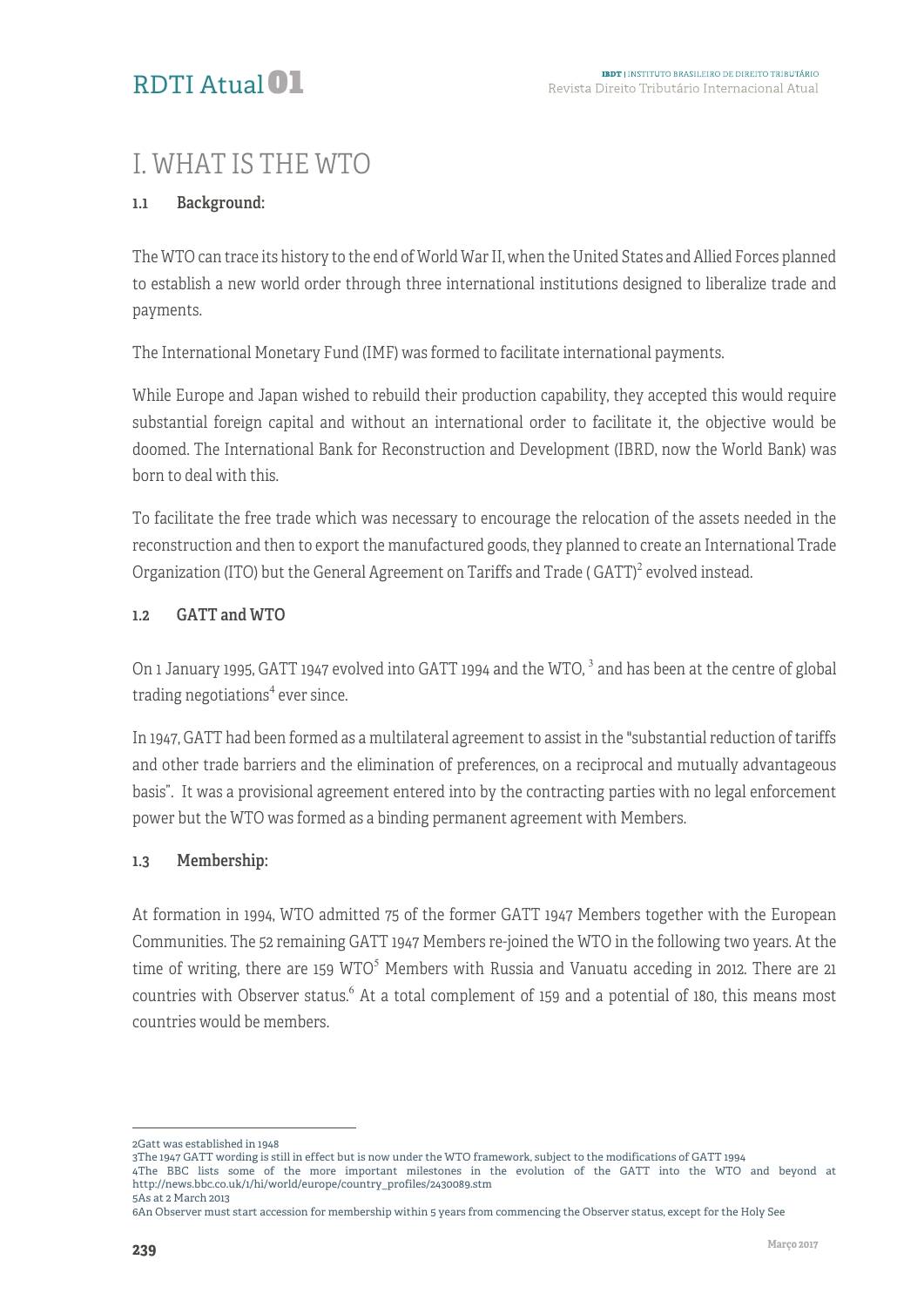# I. WHAT IS THE WTO

#### 1.1 Background:

The WTO can trace its history to the end of World War II, when the United States and Allied Forces planned to establish a new world order through three international institutions designed to liberalize trade and payments.

The International Monetary Fund (IMF) was formed to facilitate international payments.

While Europe and Japan wished to rebuild their production capability, they accepted this would require substantial foreign capital and without an international order to facilitate it, the objective would be doomed. The International Bank for Reconstruction and Development (IBRD, now the World Bank) was born to deal with this.

To facilitate the free trade which was necessary to encourage the relocation of the assets needed in the reconstruction and then to export the manufactured goods, they planned to create an International Trade Organization (ITO) but the General Agreement on Tariffs and Trade (GATT)<sup>2</sup> evolved instead.

#### 1.2 GATT and WTO

On 1 January 1995, GATT 1947 evolved into GATT 1994 and the WTO,  $3$  and has been at the centre of global trading negotiations $4$  ever since.

In 1947, GATT had been formed as a multilateral agreement to assist in the "substantial reduction of tariffs and other trade barriers and the elimination of preferences, on a reciprocal and mutually advantageous basis". It was a provisional agreement entered into by the contracting parties with no legal enforcement power but the WTO was formed as a binding permanent agreement with Members.

#### 1.3 Membership:

At formation in 1994, WTO admitted 75 of the former GATT 1947 Members together with the European Communities. The 52 remaining GATT 1947 Members re-joined the WTO in the following two years. At the time of writing, there are 159  $WTO<sup>5</sup>$  Members with Russia and Vanuatu acceding in 2012. There are 21 countries with Observer status.<sup>6</sup> At a total complement of 159 and a potential of 180, this means most countries would be members.

<sup>1</sup> 2Gatt was established in 1948

<sup>3</sup>The 1947 GATT wording is still in effect but is now under the WTO framework, subject to the modifications of GATT 1994

<sup>4</sup>The BBC lists some of the more important milestones in the evolution of the GATT into the WTO and beyond at http://news.bbc.co.uk/1/hi/world/europe/country\_profiles/2430089.stm 5As at 2 March 2013

<sup>6</sup>An Observer must start accession for membership within 5 years from commencing the Observer status, except for the Holy See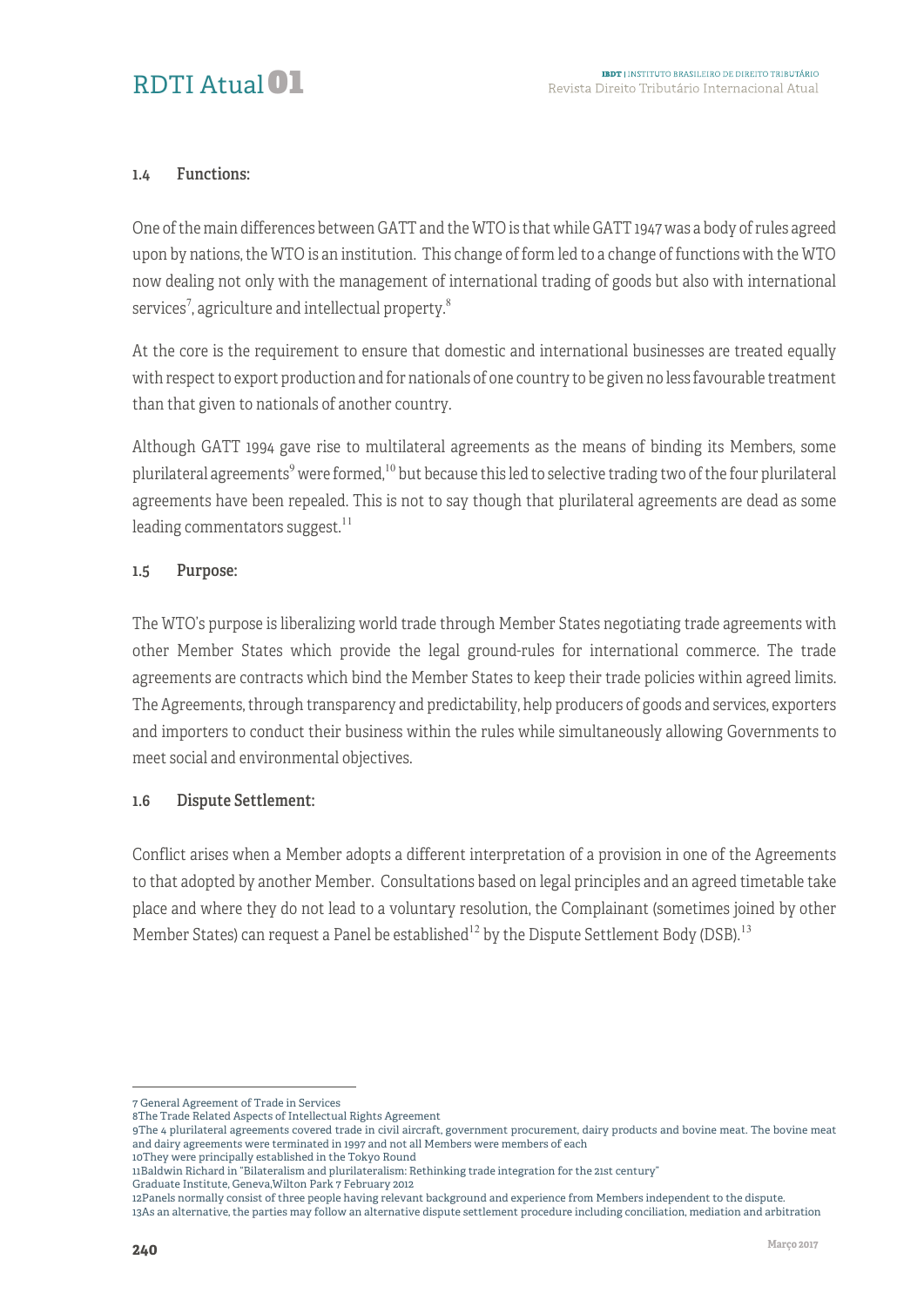#### 1.4 Functions:

One of the main differences between GATT and the WTO is that while GATT 1947 was a body of rules agreed upon by nations, the WTO is an institution. This change of form led to a change of functions with the WTO now dealing not only with the management of international trading of goods but also with international services $^7$ , agriculture and intellectual property. $^8$ 

At the core is the requirement to ensure that domestic and international businesses are treated equally with respect to export production and for nationals of one country to be given no less favourable treatment than that given to nationals of another country.

Although GATT 1994 gave rise to multilateral agreements as the means of binding its Members, some plurilateral agreements<sup>9</sup> were formed,<sup>10</sup> but because this led to selective trading two of the four plurilateral agreements have been repealed. This is not to say though that plurilateral agreements are dead as some leading commentators suggest. $^{11}$ 

#### 1.5 Purpose:

The WTO's purpose is liberalizing world trade through Member States negotiating trade agreements with other Member States which provide the legal ground-rules for international commerce. The trade agreements are contracts which bind the Member States to keep their trade policies within agreed limits. The Agreements, through transparency and predictability, help producers of goods and services, exporters and importers to conduct their business within the rules while simultaneously allowing Governments to meet social and environmental objectives.

#### 1.6 Dispute Settlement:

Conflict arises when a Member adopts a different interpretation of a provision in one of the Agreements to that adopted by another Member. Consultations based on legal principles and an agreed timetable take place and where they do not lead to a voluntary resolution, the Complainant (sometimes joined by other Member States) can request a Panel be established<sup>12</sup> by the Dispute Settlement Body (DSB).<sup>13</sup>

10They were principally established in the Tokyo Round 11Baldwin Richard in "Bilateralism and plurilateralism: Rethinking trade integration for the 21st century"

<u>.</u>

<sup>7</sup> General Agreement of Trade in Services

<sup>8</sup>The Trade Related Aspects of Intellectual Rights Agreement

<sup>9</sup>The 4 plurilateral agreements covered trade in civil aircraft, government procurement, dairy products and bovine meat. The bovine meat and dairy agreements were terminated in 1997 and not all Members were members of each

Graduate Institute, Geneva,Wilton Park 7 February 2012

<sup>12</sup>Panels normally consist of three people having relevant background and experience from Members independent to the dispute. 13As an alternative, the parties may follow an alternative dispute settlement procedure including conciliation, mediation and arbitration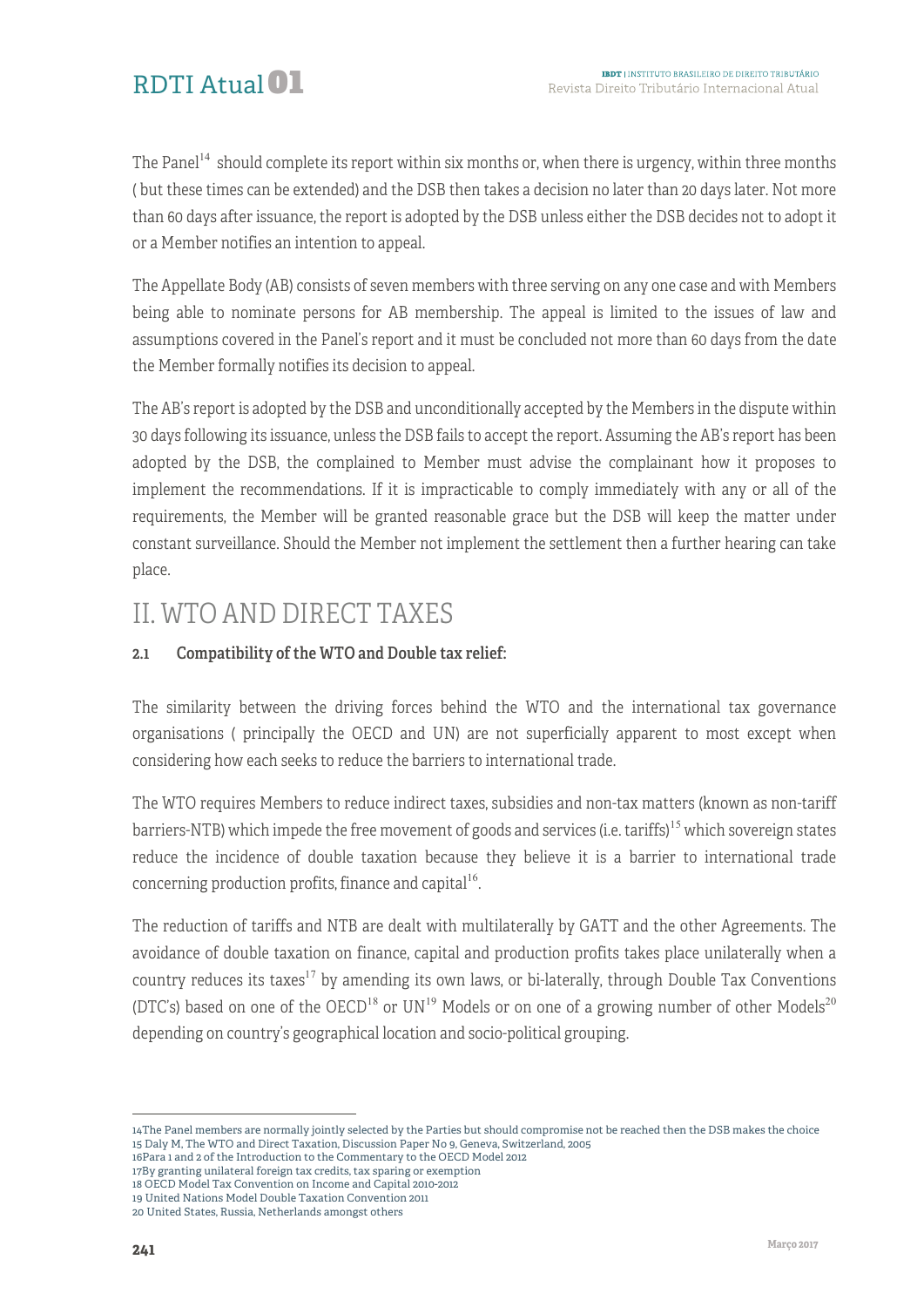The Panel<sup>14</sup> should complete its report within six months or, when there is urgency, within three months ( but these times can be extended) and the DSB then takes a decision no later than 20 days later. Not more than 60 days after issuance, the report is adopted by the DSB unless either the DSB decides not to adopt it or a Member notifies an intention to appeal.

The Appellate Body (AB) consists of seven members with three serving on any one case and with Members being able to nominate persons for AB membership. The appeal is limited to the issues of law and assumptions covered in the Panel's report and it must be concluded not more than 60 days from the date the Member formally notifies its decision to appeal.

The AB's report is adopted by the DSB and unconditionally accepted by the Members in the dispute within 30 days following its issuance, unless the DSB fails to accept the report. Assuming the AB's report has been adopted by the DSB, the complained to Member must advise the complainant how it proposes to implement the recommendations. If it is impracticable to comply immediately with any or all of the requirements, the Member will be granted reasonable grace but the DSB will keep the matter under constant surveillance. Should the Member not implement the settlement then a further hearing can take place.

# II. WTO AND DIRECT TAXES

#### 2.1 Compatibility of the WTO and Double tax relief:

The similarity between the driving forces behind the WTO and the international tax governance organisations ( principally the OECD and UN) are not superficially apparent to most except when considering how each seeks to reduce the barriers to international trade.

The WTO requires Members to reduce indirect taxes, subsidies and non-tax matters (known as non-tariff barriers-NTB) which impede the free movement of goods and services (i.e. tariffs)<sup>15</sup> which sovereign states reduce the incidence of double taxation because they believe it is a barrier to international trade concerning production profits, finance and capital<sup>16</sup>.

The reduction of tariffs and NTB are dealt with multilaterally by GATT and the other Agreements. The avoidance of double taxation on finance, capital and production profits takes place unilaterally when a country reduces its taxes<sup>17</sup> by amending its own laws, or bi-laterally, through Double Tax Conventions (DTC's) based on one of the OECD<sup>18</sup> or UN<sup>19</sup> Models or on one of a growing number of other Models<sup>20</sup> depending on country's geographical location and socio-political grouping.

- 16Para 1 and 2 of the Introduction to the Commentary to the OECD Model 2012
- 17By granting unilateral foreign tax credits, tax sparing or exemption
- 18 OECD Model Tax Convention on Income and Capital 2010-2012
- 19 United Nations Model Double Taxation Convention 2011

<sup>1</sup> 14The Panel members are normally jointly selected by the Parties but should compromise not be reached then the DSB makes the choice 15 Daly M, The WTO and Direct Taxation, Discussion Paper No 9, Geneva, Switzerland, 2005

<sup>20</sup> United States, Russia, Netherlands amongst others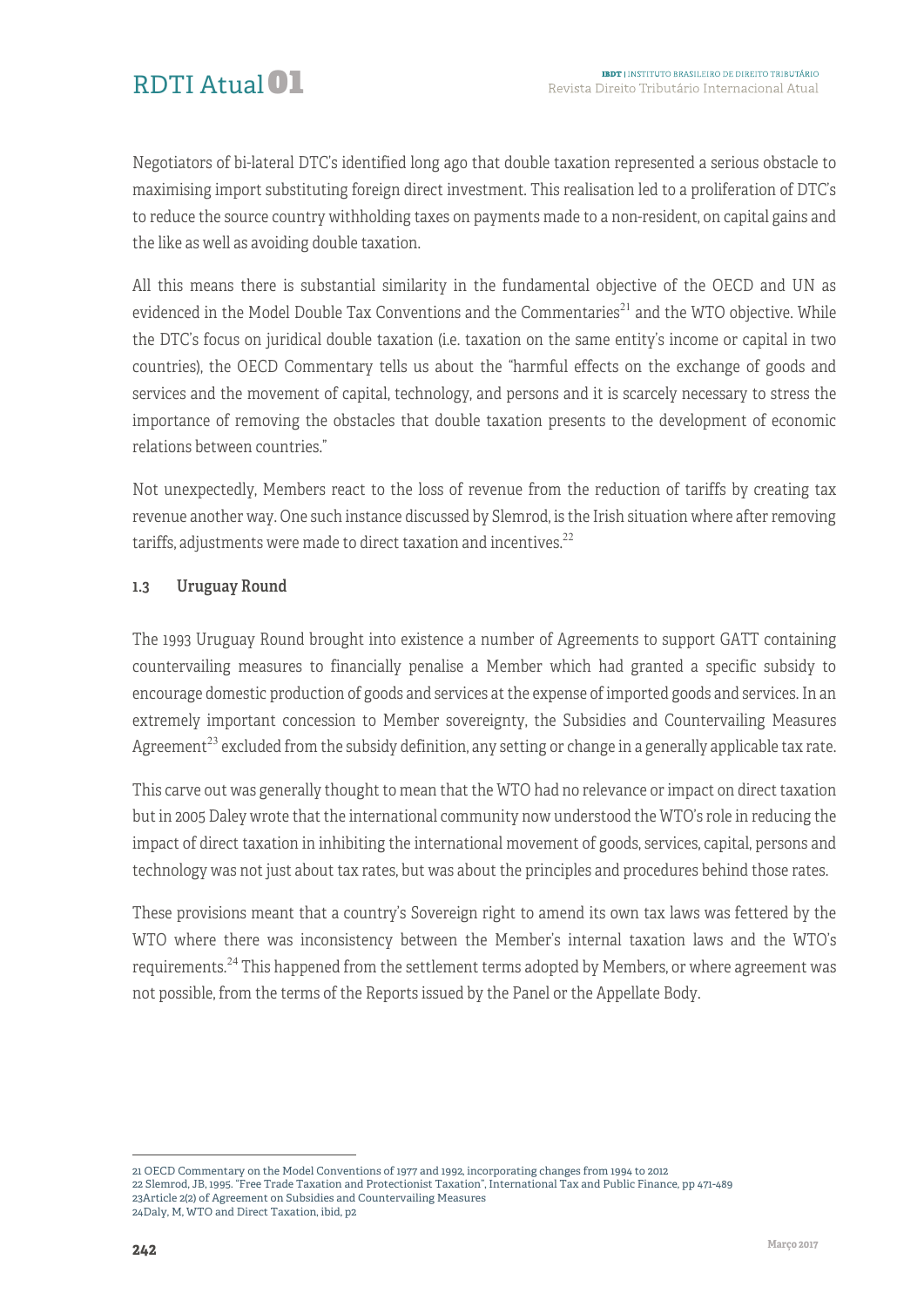

Negotiators of bi-lateral DTC's identified long ago that double taxation represented a serious obstacle to maximising import substituting foreign direct investment. This realisation led to a proliferation of DTC's to reduce the source country withholding taxes on payments made to a non-resident, on capital gains and the like as well as avoiding double taxation.

All this means there is substantial similarity in the fundamental objective of the OECD and UN as evidenced in the Model Double Tax Conventions and the Commentaries<sup>21</sup> and the WTO objective. While the DTC's focus on juridical double taxation (i.e. taxation on the same entity's income or capital in two countries), the OECD Commentary tells us about the "harmful effects on the exchange of goods and services and the movement of capital, technology, and persons and it is scarcely necessary to stress the importance of removing the obstacles that double taxation presents to the development of economic relations between countries."

Not unexpectedly, Members react to the loss of revenue from the reduction of tariffs by creating tax revenue another way. One such instance discussed by Slemrod, is the Irish situation where after removing tariffs, adjustments were made to direct taxation and incentives. $22$ 

#### 1.3 Uruguay Round

The 1993 Uruguay Round brought into existence a number of Agreements to support GATT containing countervailing measures to financially penalise a Member which had granted a specific subsidy to encourage domestic production of goods and services at the expense of imported goods and services. In an extremely important concession to Member sovereignty, the Subsidies and Countervailing Measures Agreement<sup>23</sup> excluded from the subsidy definition, any setting or change in a generally applicable tax rate.

This carve out was generally thought to mean that the WTO had no relevance or impact on direct taxation but in 2005 Daley wrote that the international community now understood the WTO's role in reducing the impact of direct taxation in inhibiting the international movement of goods, services, capital, persons and technology was not just about tax rates, but was about the principles and procedures behind those rates.

These provisions meant that a country's Sovereign right to amend its own tax laws was fettered by the WTO where there was inconsistency between the Member's internal taxation laws and the WTO's requirements.<sup>24</sup> This happened from the settlement terms adopted by Members, or where agreement was not possible, from the terms of the Reports issued by the Panel or the Appellate Body.

<sup>1</sup> 21 OECD Commentary on the Model Conventions of 1977 and 1992, incorporating changes from 1994 to 2012

<sup>22</sup> Slemrod, JB, 1995. "Free Trade Taxation and Protectionist Taxation", International Tax and Public Finance, pp 471-489 23Article 2(2) of Agreement on Subsidies and Countervailing Measures

<sup>24</sup>Daly, M, WTO and Direct Taxation, ibid, p2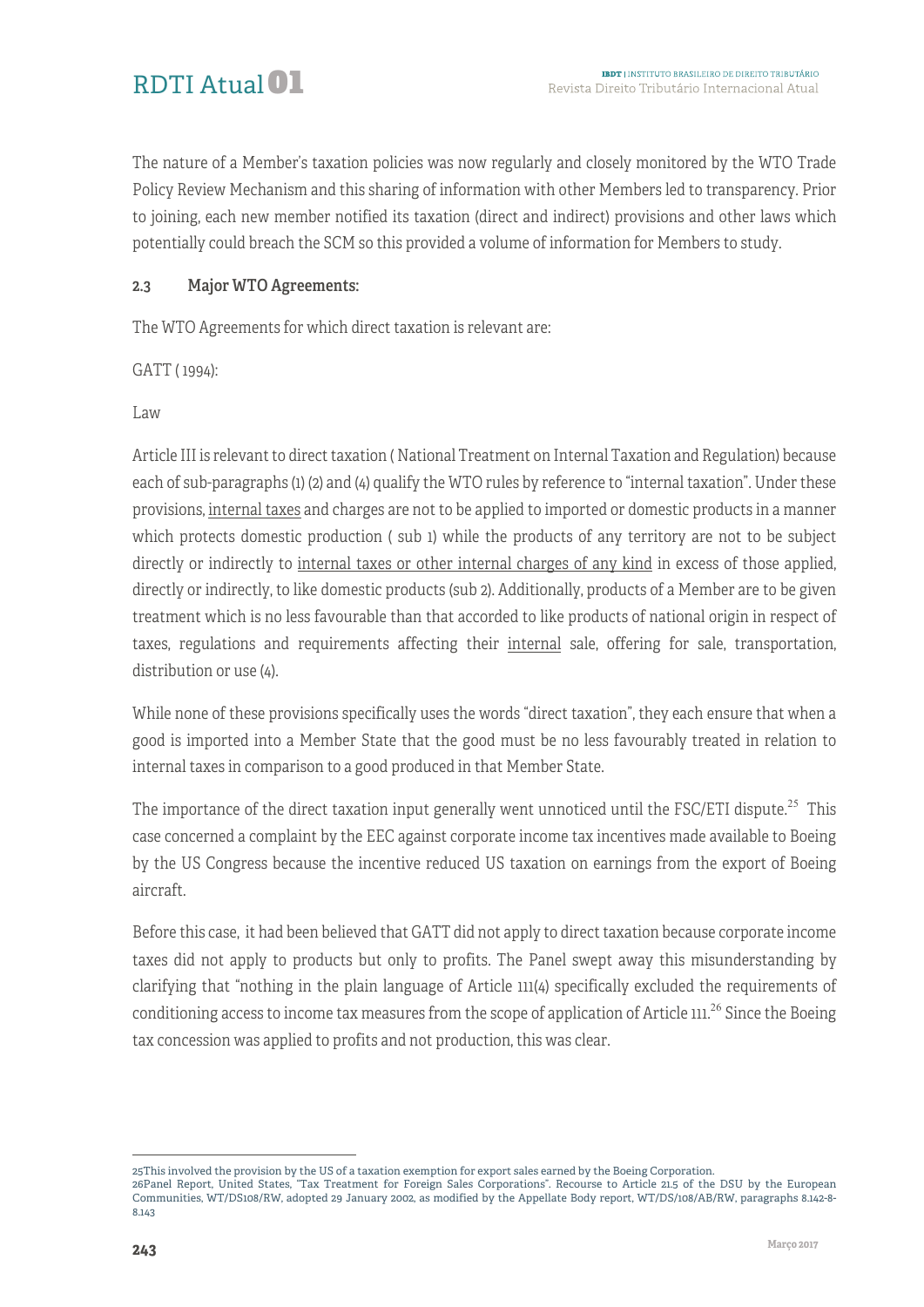The nature of a Member's taxation policies was now regularly and closely monitored by the WTO Trade Policy Review Mechanism and this sharing of information with other Members led to transparency. Prior to joining, each new member notified its taxation (direct and indirect) provisions and other laws which potentially could breach the SCM so this provided a volume of information for Members to study.

#### 2.3 Major WTO Agreements:

The WTO Agreements for which direct taxation is relevant are:

GATT ( 1994):

Law

Article III is relevant to direct taxation ( National Treatment on Internal Taxation and Regulation) because each of sub-paragraphs (1) (2) and (4) qualify the WTO rules by reference to "internal taxation". Under these provisions, internal taxes and charges are not to be applied to imported or domestic products in a manner which protects domestic production ( sub 1) while the products of any territory are not to be subject directly or indirectly to internal taxes or other internal charges of any kind in excess of those applied, directly or indirectly, to like domestic products (sub 2). Additionally, products of a Member are to be given treatment which is no less favourable than that accorded to like products of national origin in respect of taxes, regulations and requirements affecting their internal sale, offering for sale, transportation, distribution or use (4).

While none of these provisions specifically uses the words "direct taxation", they each ensure that when a good is imported into a Member State that the good must be no less favourably treated in relation to internal taxes in comparison to a good produced in that Member State.

The importance of the direct taxation input generally went unnoticed until the FSC/ETI dispute.<sup>25</sup> This case concerned a complaint by the EEC against corporate income tax incentives made available to Boeing by the US Congress because the incentive reduced US taxation on earnings from the export of Boeing aircraft.

Before this case, it had been believed that GATT did not apply to direct taxation because corporate income taxes did not apply to products but only to profits. The Panel swept away this misunderstanding by clarifying that "nothing in the plain language of Article 111(4) specifically excluded the requirements of conditioning access to income tax measures from the scope of application of Article  $111^{26}$  Since the Boeing tax concession was applied to profits and not production, this was clear.

<sup>1</sup> 25This involved the provision by the US of a taxation exemption for export sales earned by the Boeing Corporation.

<sup>26</sup>Panel Report, United States, "Tax Treatment for Foreign Sales Corporations". Recourse to Article 21.5 of the DSU by the European Communities, WT/DS108/RW, adopted 29 January 2002, as modified by the Appellate Body report, WT/DS/108/AB/RW, paragraphs 8.142-8- 8.143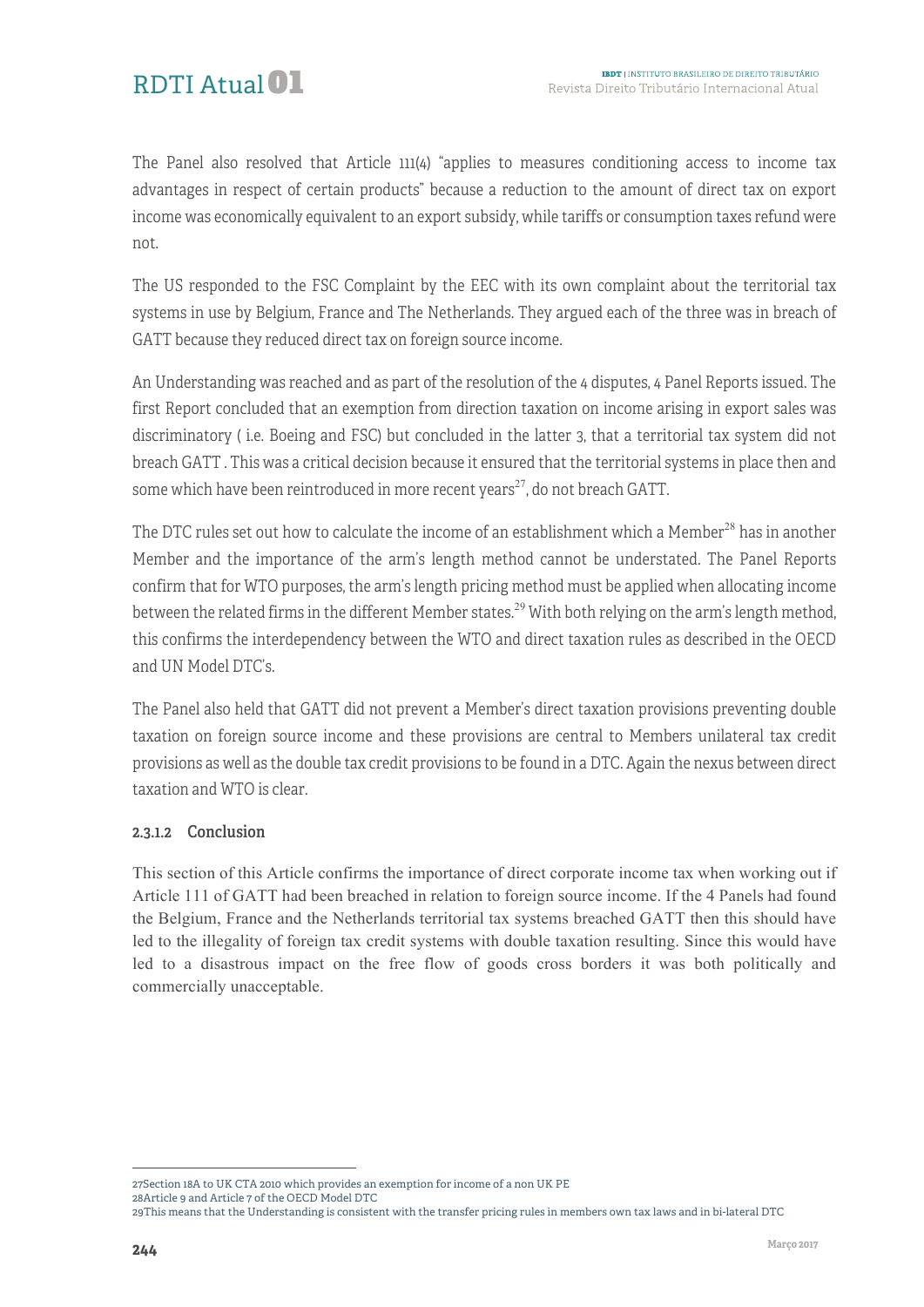The Panel also resolved that Article 111(4) "applies to measures conditioning access to income tax advantages in respect of certain products" because a reduction to the amount of direct tax on export income was economically equivalent to an export subsidy, while tariffs or consumption taxes refund were not.

The US responded to the FSC Complaint by the EEC with its own complaint about the territorial tax systems in use by Belgium, France and The Netherlands. They argued each of the three was in breach of GATT because they reduced direct tax on foreign source income.

An Understanding was reached and as part of the resolution of the 4 disputes, 4 Panel Reports issued. The first Report concluded that an exemption from direction taxation on income arising in export sales was discriminatory ( i.e. Boeing and FSC) but concluded in the latter 3, that a territorial tax system did not breach GATT . This was a critical decision because it ensured that the territorial systems in place then and some which have been reintroduced in more recent years<sup>27</sup>, do not breach GATT.

The DTC rules set out how to calculate the income of an establishment which a Member<sup>28</sup> has in another Member and the importance of the arm's length method cannot be understated. The Panel Reports confirm that for WTO purposes, the arm's length pricing method must be applied when allocating income between the related firms in the different Member states.<sup>29</sup> With both relying on the arm's length method, this confirms the interdependency between the WTO and direct taxation rules as described in the OECD and UN Model DTC's.

The Panel also held that GATT did not prevent a Member's direct taxation provisions preventing double taxation on foreign source income and these provisions are central to Members unilateral tax credit provisions as well as the double tax credit provisions to be found in a DTC. Again the nexus between direct taxation and WTO is clear.

#### 2.3.1.2 Conclusion

This section of this Article confirms the importance of direct corporate income tax when working out if Article 111 of GATT had been breached in relation to foreign source income. If the 4 Panels had found the Belgium, France and the Netherlands territorial tax systems breached GATT then this should have led to the illegality of foreign tax credit systems with double taxation resulting. Since this would have led to a disastrous impact on the free flow of goods cross borders it was both politically and commercially unacceptable.

<sup>1</sup> 27Section 18A to UK CTA 2010 which provides an exemption for income of a non UK PE

<sup>28</sup>Article 9 and Article 7 of the OECD Model DTC

<sup>29</sup>This means that the Understanding is consistent with the transfer pricing rules in members own tax laws and in bi-lateral DTC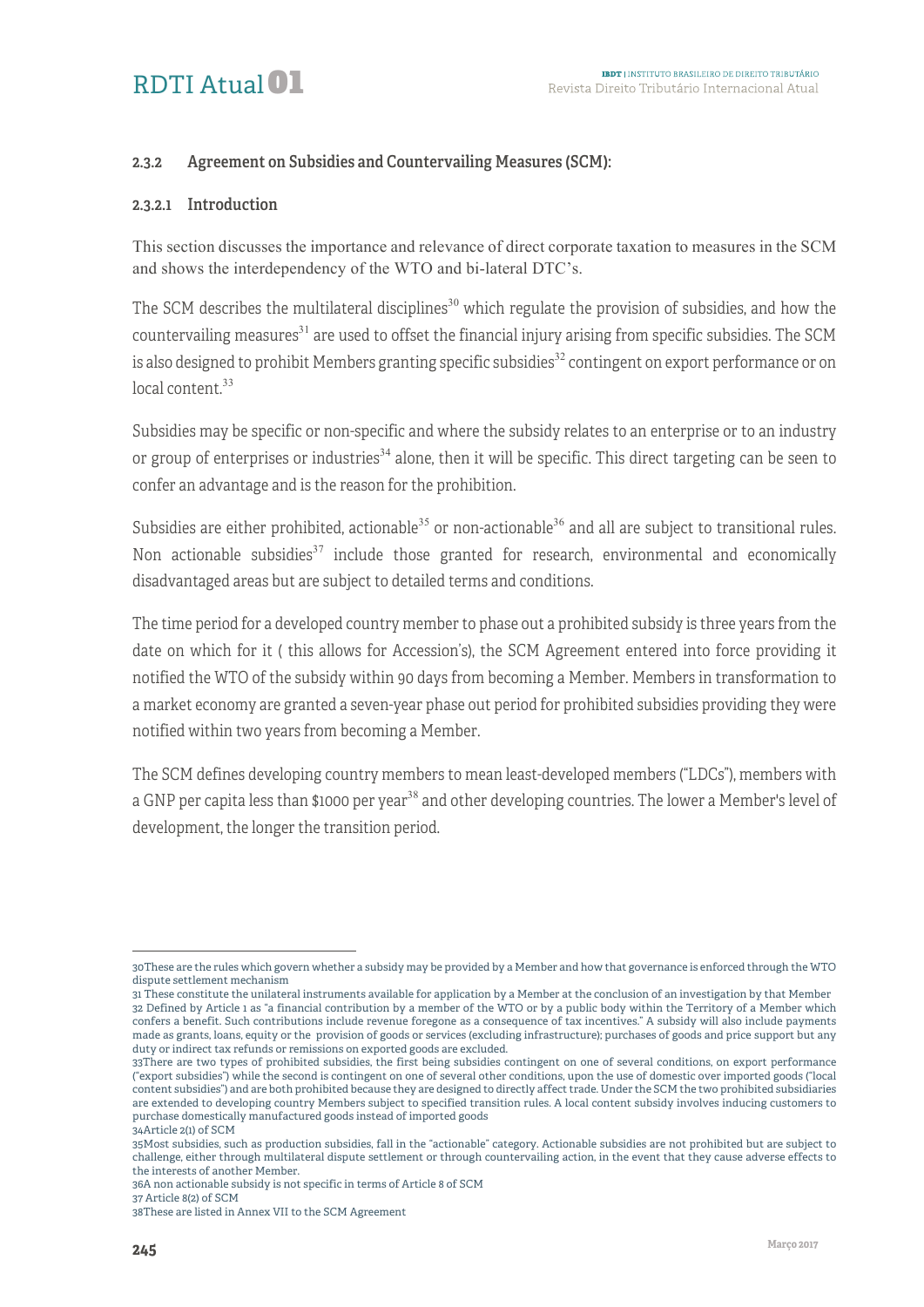# RDTI Atual<sup>01</sup>

#### 2.3.2 Agreement on Subsidies and Countervailing Measures (SCM):

#### 2.3.2.1 Introduction

This section discusses the importance and relevance of direct corporate taxation to measures in the SCM and shows the interdependency of the WTO and bi-lateral DTC's.

The SCM describes the multilateral disciplines<sup>30</sup> which regulate the provision of subsidies, and how the countervailing measures<sup>31</sup> are used to offset the financial injury arising from specific subsidies. The SCM is also designed to prohibit Members granting specific subsidies $^{32}$  contingent on export performance or on local content.<sup>33</sup>

Subsidies may be specific or non-specific and where the subsidy relates to an enterprise or to an industry or group of enterprises or industries<sup>34</sup> alone, then it will be specific. This direct targeting can be seen to confer an advantage and is the reason for the prohibition.

Subsidies are either prohibited, actionable<sup>35</sup> or non-actionable<sup>36</sup> and all are subject to transitional rules. Non actionable subsidies<sup>37</sup> include those granted for research, environmental and economically disadvantaged areas but are subject to detailed terms and conditions.

The time period for a developed country member to phase out a prohibited subsidy is three years from the date on which for it ( this allows for Accession's), the SCM Agreement entered into force providing it notified the WTO of the subsidy within 90 days from becoming a Member. Members in transformation to a market economy are granted a seven-year phase out period for prohibited subsidies providing they were notified within two years from becoming a Member.

The SCM defines developing country members to mean least-developed members ("LDCs"), members with a GNP per capita less than \$1000 per year<sup>38</sup> and other developing countries. The lower a Member's level of development, the longer the transition period.

<sup>&</sup>lt;sup>-</sup> 30These are the rules which govern whether a subsidy may be provided by a Member and how that governance is enforced through the WTO dispute settlement mechanism

<sup>31</sup> These constitute the unilateral instruments available for application by a Member at the conclusion of an investigation by that Member 32 Defined by Article 1 as "a financial contribution by a member of the WTO or by a public body within the Territory of a Member which confers a benefit. Such contributions include revenue foregone as a consequence of tax incentives." A subsidy will also include payments made as grants, loans, equity or the provision of goods or services (excluding infrastructure); purchases of goods and price support but any duty or indirect tax refunds or remissions on exported goods are excluded.

<sup>33</sup>There are two types of prohibited subsidies, the first being subsidies contingent on one of several conditions, on export performance ("export subsidies") while the second is contingent on one of several other conditions, upon the use of domestic over imported goods ("local content subsidies") and are both prohibited because they are designed to directly affect trade. Under the SCM the two prohibited subsidiaries are extended to developing country Members subject to specified transition rules. A local content subsidy involves inducing customers to purchase domestically manufactured goods instead of imported goods 34Article 2(1) of SCM

<sup>35</sup>Most subsidies, such as production subsidies, fall in the "actionable" category. Actionable subsidies are not prohibited but are subject to challenge, either through multilateral dispute settlement or through countervailing action, in the event that they cause adverse effects to the interests of another Member.

<sup>36</sup>A non actionable subsidy is not specific in terms of Article 8 of SCM

<sup>37</sup> Article 8(2) of SCM

<sup>38</sup>These are listed in Annex VII to the SCM Agreement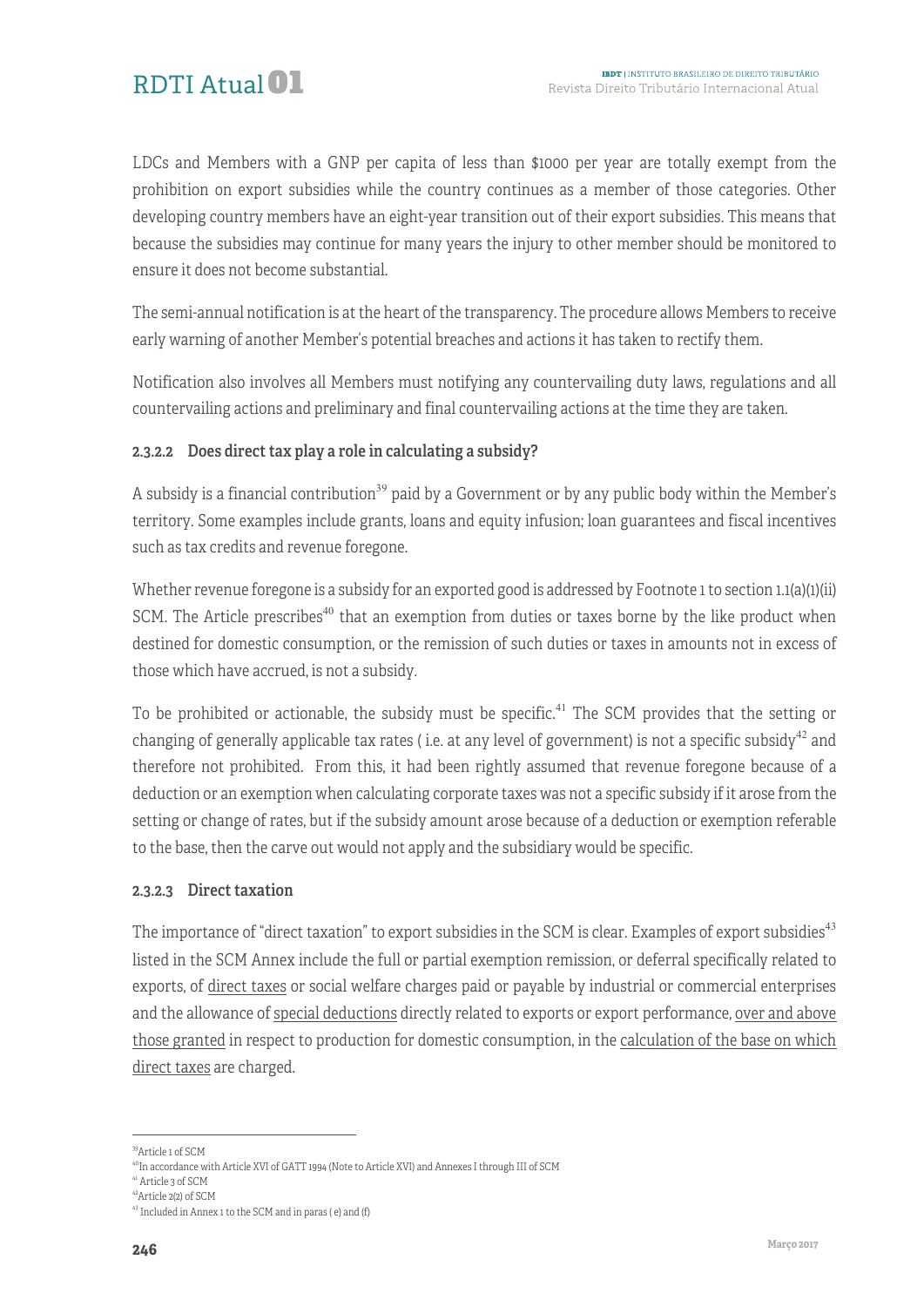LDCs and Members with a GNP per capita of less than \$1000 per year are totally exempt from the prohibition on export subsidies while the country continues as a member of those categories. Other developing country members have an eight-year transition out of their export subsidies. This means that because the subsidies may continue for many years the injury to other member should be monitored to ensure it does not become substantial.

The semi-annual notification is at the heart of the transparency. The procedure allows Members to receive early warning of another Member's potential breaches and actions it has taken to rectify them.

Notification also involves all Members must notifying any countervailing duty laws, regulations and all countervailing actions and preliminary and final countervailing actions at the time they are taken.

#### 2.3.2.2 Does direct tax play a role in calculating a subsidy?

A subsidy is a financial contribution<sup>39</sup> paid by a Government or by any public body within the Member's territory. Some examples include grants, loans and equity infusion; loan guarantees and fiscal incentives such as tax credits and revenue foregone.

Whether revenue foregone is a subsidy for an exported good is addressed by Footnote 1 to section 1.1(a)(1)(ii) SCM. The Article prescribes<sup>40</sup> that an exemption from duties or taxes borne by the like product when destined for domestic consumption, or the remission of such duties or taxes in amounts not in excess of those which have accrued, is not a subsidy.

To be prohibited or actionable, the subsidy must be specific.<sup>41</sup> The SCM provides that the setting or changing of generally applicable tax rates (i.e. at any level of government) is not a specific subsidy<sup>42</sup> and therefore not prohibited. From this, it had been rightly assumed that revenue foregone because of a deduction or an exemption when calculating corporate taxes was not a specific subsidy if it arose from the setting or change of rates, but if the subsidy amount arose because of a deduction or exemption referable to the base, then the carve out would not apply and the subsidiary would be specific.

#### 2.3.2.3 Direct taxation

The importance of "direct taxation" to export subsidies in the SCM is clear. Examples of export subsidies<sup>43</sup> listed in the SCM Annex include the full or partial exemption remission, or deferral specifically related to exports, of direct taxes or social welfare charges paid or payable by industrial or commercial enterprises and the allowance of special deductions directly related to exports or export performance, over and above those granted in respect to production for domestic consumption, in the calculation of the base on which direct taxes are charged.

<sup>41</sup> Article 3 of SCM

 <sup>39</sup>Article 1 of SCM

<sup>&</sup>lt;sup>40</sup>In accordance with Article XVI of GATT 1994 (Note to Article XVI) and Annexes I through III of SCM

<sup>42</sup>Article 2(2) of SCM

<sup>43</sup> Included in Annex 1 to the SCM and in paras ( e) and (f)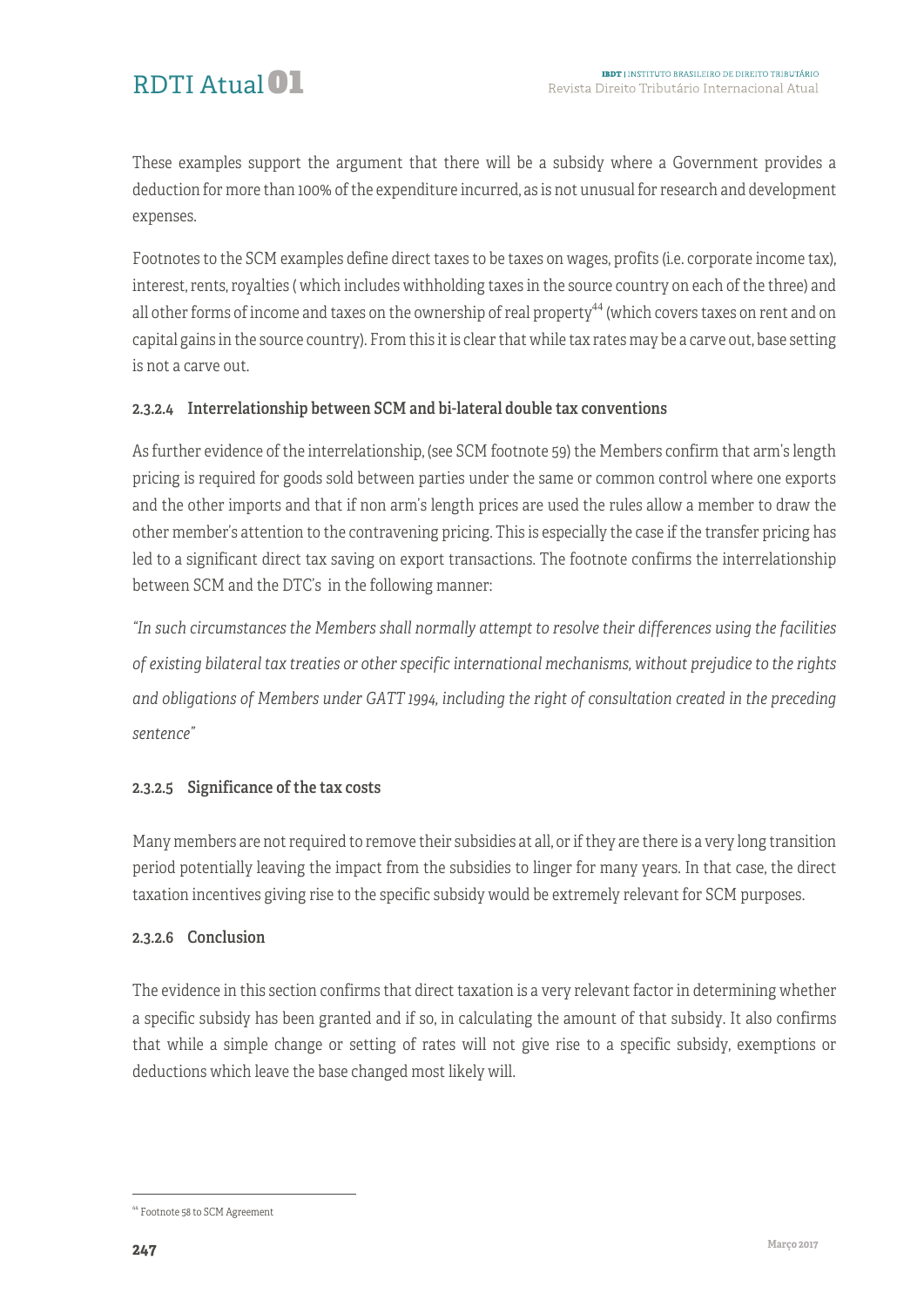These examples support the argument that there will be a subsidy where a Government provides a deduction for more than 100% of the expenditure incurred, as is not unusual for research and development expenses.

Footnotes to the SCM examples define direct taxes to be taxes on wages, profits (i.e. corporate income tax), interest, rents, royalties ( which includes withholding taxes in the source country on each of the three) and all other forms of income and taxes on the ownership of real property<sup>44</sup> (which covers taxes on rent and on capital gains in the source country). From this it is clear that while tax rates may be a carve out, base setting is not a carve out.

#### 2.3.2.4 Interrelationship between SCM and bi-lateral double tax conventions

As further evidence of the interrelationship, (see SCM footnote 59) the Members confirm that arm's length pricing is required for goods sold between parties under the same or common control where one exports and the other imports and that if non arm's length prices are used the rules allow a member to draw the other member's attention to the contravening pricing. This is especially the case if the transfer pricing has led to a significant direct tax saving on export transactions. The footnote confirms the interrelationship between SCM and the DTC's in the following manner:

*"In such circumstances the Members shall normally attempt to resolve their differences using the facilities of existing bilateral tax treaties or other specific international mechanisms, without prejudice to the rights and obligations of Members under GATT 1994, including the right of consultation created in the preceding sentence"*

#### 2.3.2.5 Significance of the tax costs

Many members are not required to remove their subsidies at all, or if they are there is a very long transition period potentially leaving the impact from the subsidies to linger for many years. In that case, the direct taxation incentives giving rise to the specific subsidy would be extremely relevant for SCM purposes.

#### 2.3.2.6 Conclusion

The evidence in this section confirms that direct taxation is a very relevant factor in determining whether a specific subsidy has been granted and if so, in calculating the amount of that subsidy. It also confirms that while a simple change or setting of rates will not give rise to a specific subsidy, exemptions or deductions which leave the base changed most likely will.

 <sup>44</sup> Footnote 58 to SCM Agreement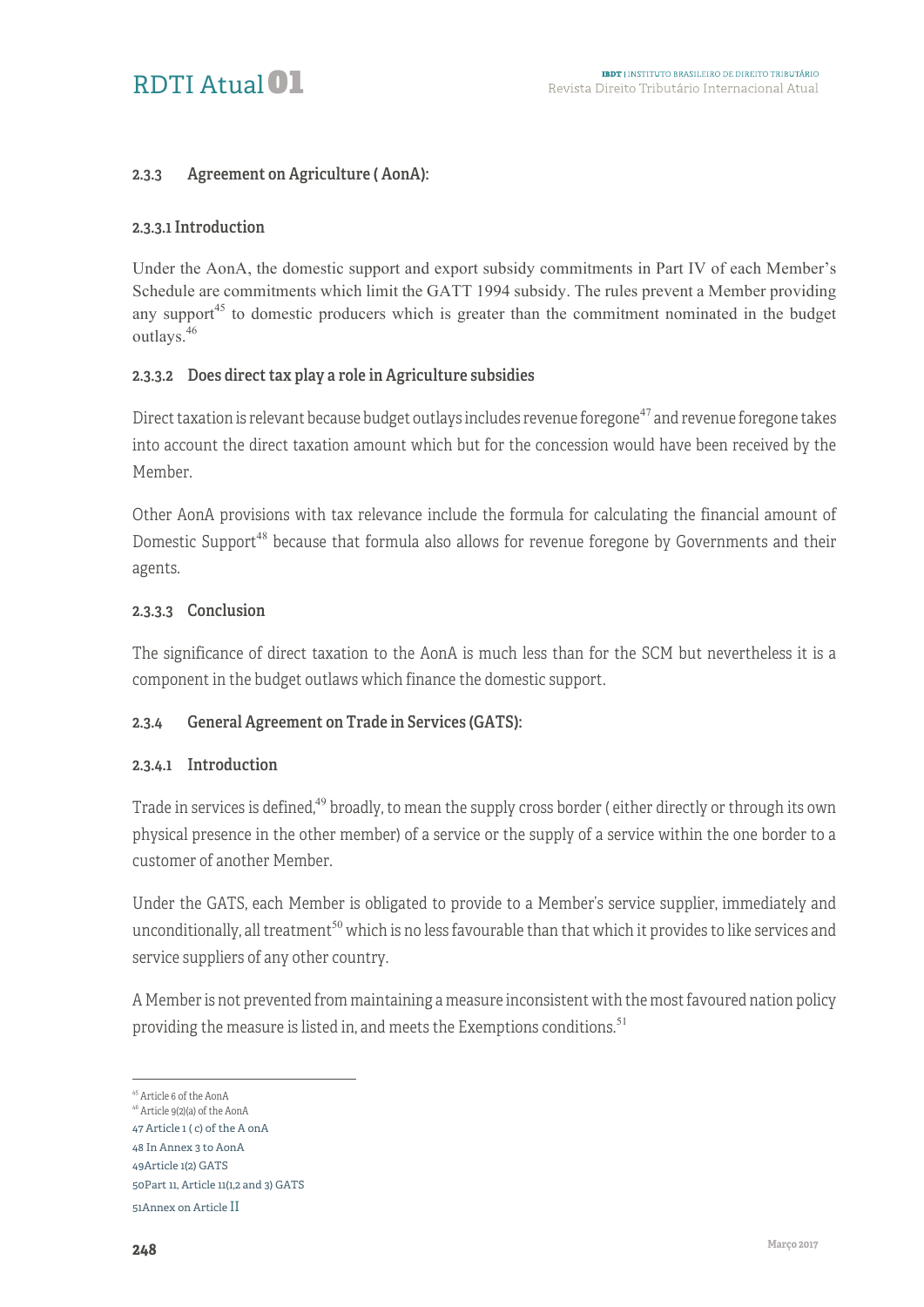#### 2.3.3 Agreement on Agriculture ( AonA):

#### 2.3.3.1 Introduction

Under the AonA, the domestic support and export subsidy commitments in Part IV of each Member's Schedule are commitments which limit the GATT 1994 subsidy. The rules prevent a Member providing any support<sup>45</sup> to domestic producers which is greater than the commitment nominated in the budget outlays.<sup>46</sup>

#### 2.3.3.2 Does direct tax play a role in Agriculture subsidies

Direct taxation is relevant because budget outlays includes revenue foregone<sup>47</sup> and revenue foregone takes into account the direct taxation amount which but for the concession would have been received by the Member.

Other AonA provisions with tax relevance include the formula for calculating the financial amount of Domestic Support<sup>48</sup> because that formula also allows for revenue foregone by Governments and their agents.

#### 2.3.3.3 Conclusion

The significance of direct taxation to the AonA is much less than for the SCM but nevertheless it is a component in the budget outlaws which finance the domestic support.

#### 2.3.4 General Agreement on Trade in Services (GATS):

#### 2.3.4.1 Introduction

Trade in services is defined,<sup>49</sup> broadly, to mean the supply cross border (either directly or through its own physical presence in the other member) of a service or the supply of a service within the one border to a customer of another Member.

Under the GATS, each Member is obligated to provide to a Member's service supplier, immediately and unconditionally, all treatment<sup>50</sup> which is no less favourable than that which it provides to like services and service suppliers of any other country.

A Member is not prevented from maintaining a measure inconsistent with the most favoured nation policy providing the measure is listed in, and meets the Exemptions conditions.<sup>51</sup>

 <sup>45</sup> Article 6 of the AonA

<sup>46</sup> Article 9(2)(a) of the AonA 47 Article 1 ( c) of the A onA

<sup>48</sup> In Annex 3 to AonA

<sup>49</sup>Article 1(2) GATS

<sup>50</sup>Part 11, Article 11(1,2 and 3) GATS

<sup>51</sup>Annex on Article II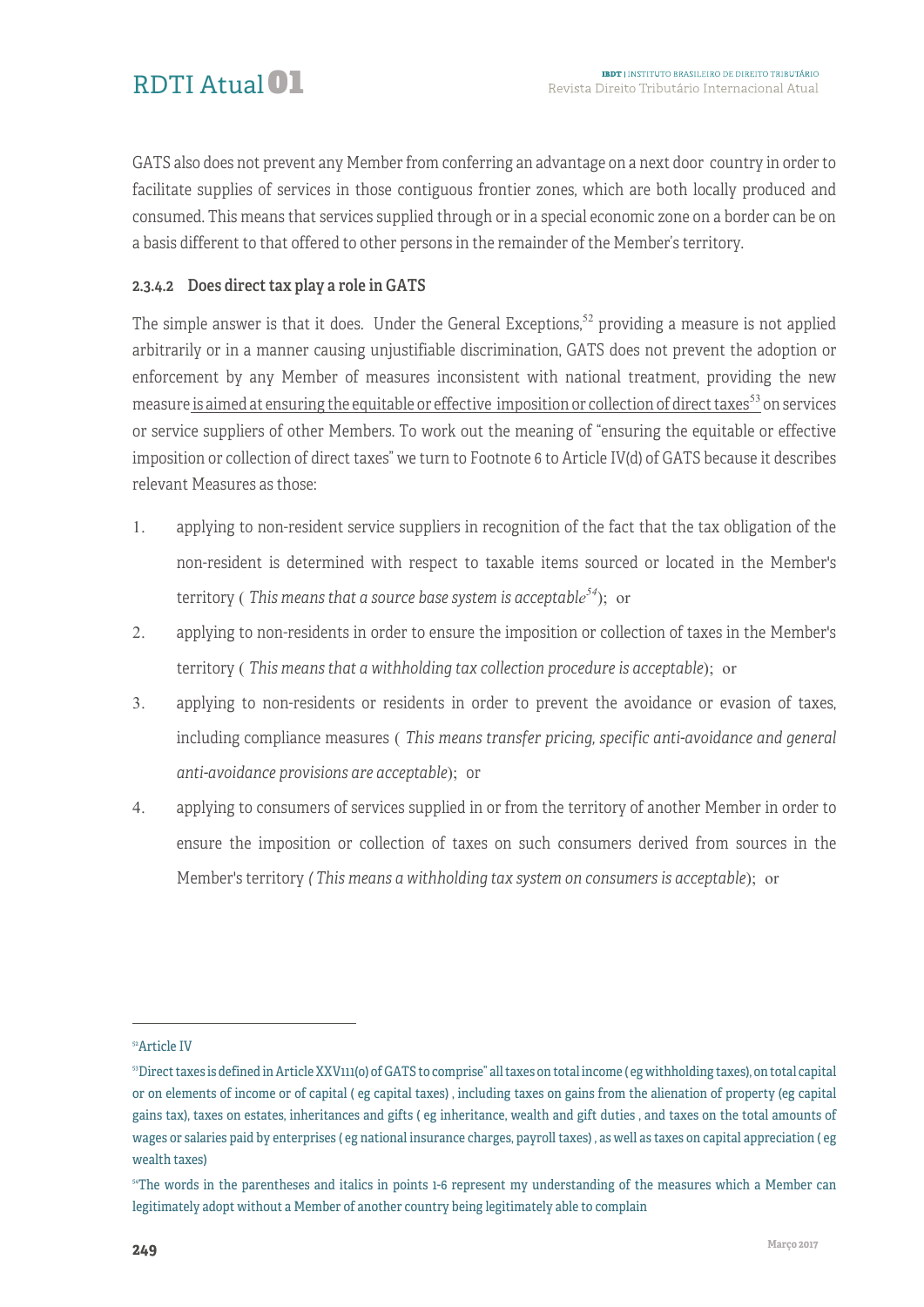GATS also does not prevent any Member from conferring an advantage on a next door country in order to facilitate supplies of services in those contiguous frontier zones, which are both locally produced and consumed. This means that services supplied through or in a special economic zone on a border can be on a basis different to that offered to other persons in the remainder of the Member's territory.

#### 2.3.4.2 Does direct tax play a role in GATS

The simple answer is that it does. Under the General Exceptions,<sup>52</sup> providing a measure is not applied arbitrarily or in a manner causing unjustifiable discrimination, GATS does not prevent the adoption or enforcement by any Member of measures inconsistent with national treatment, providing the new measure is aimed at ensuring the equitable or effective imposition or collection of direct taxes  $53$  on services or service suppliers of other Members. To work out the meaning of "ensuring the equitable or effective imposition or collection of direct taxes" we turn to Footnote 6 to Article IV(d) of GATS because it describes relevant Measures as those:

- 1. applying to non-resident service suppliers in recognition of the fact that the tax obligation of the non-resident is determined with respect to taxable items sourced or located in the Member's territory ( *This means that a source base system is acceptable <sup>54</sup>*); or
- 2. applying to non-residents in order to ensure the imposition or collection of taxes in the Member's territory ( *This means that a withholding tax collection procedure is acceptable*); or
- 3. applying to non-residents or residents in order to prevent the avoidance or evasion of taxes, including compliance measures ( *This means transfer pricing, specific anti-avoidance and general anti-avoidance provisions are acceptable*); or
- 4. applying to consumers of services supplied in or from the territory of another Member in order to ensure the imposition or collection of taxes on such consumers derived from sources in the Member's territory *( This means a withholding tax system on consumers is acceptable*); or

<sup>-</sup>

<sup>52</sup>Article IV

<sup>53</sup>Direct taxes is defined in Article XXV111(o) of GATS to comprise" all taxes on total income ( eg withholding taxes), on total capital or on elements of income or of capital ( eg capital taxes) , including taxes on gains from the alienation of property (eg capital gains tax), taxes on estates, inheritances and gifts ( eg inheritance, wealth and gift duties , and taxes on the total amounts of wages or salaries paid by enterprises ( eg national insurance charges, payroll taxes) , as well as taxes on capital appreciation ( eg wealth taxes)

<sup>&</sup>lt;sup>54</sup>The words in the parentheses and italics in points 1-6 represent my understanding of the measures which a Member can legitimately adopt without a Member of another country being legitimately able to complain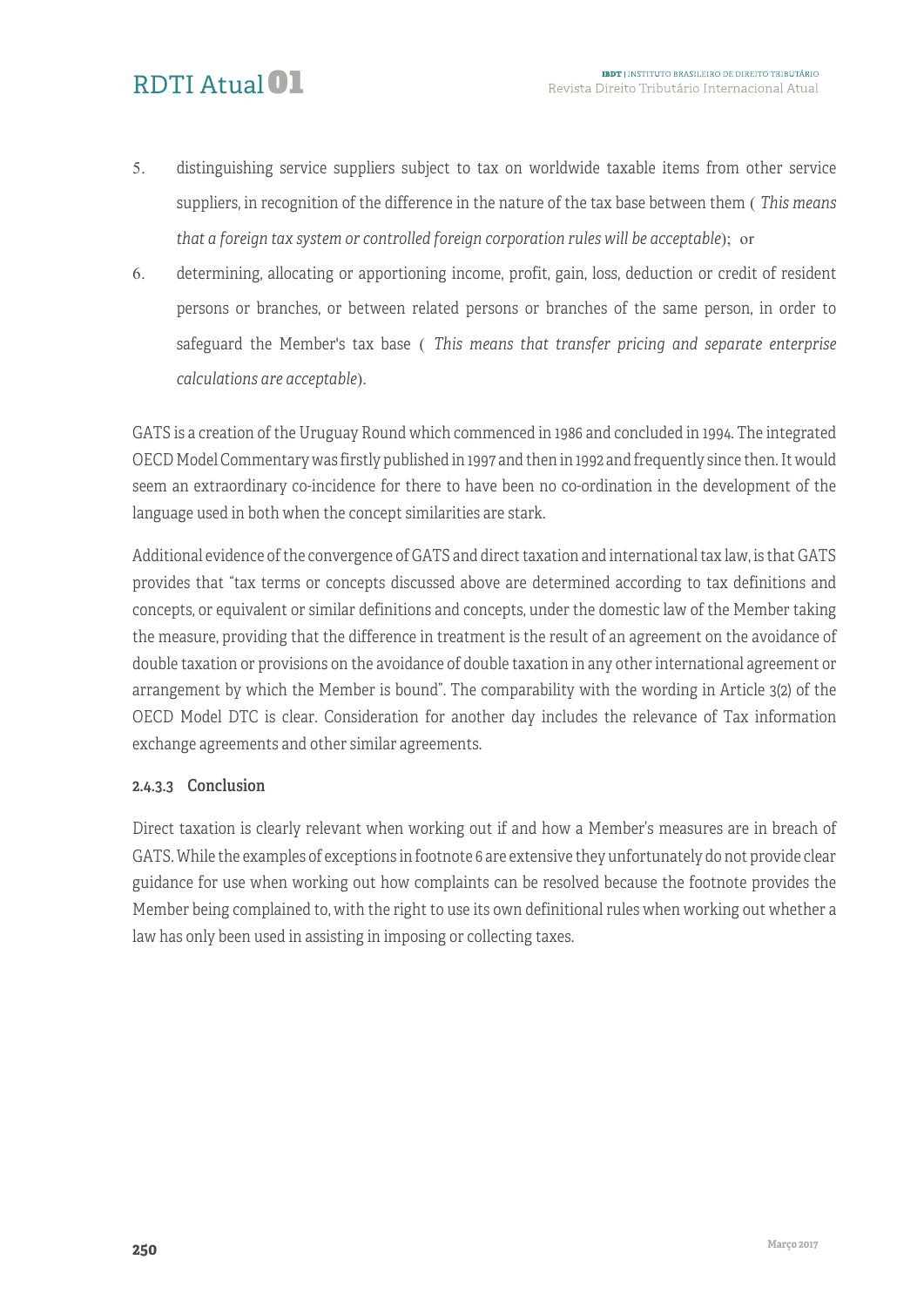### RDTI Atual<sup>01</sup>

- 5. distinguishing service suppliers subject to tax on worldwide taxable items from other service suppliers, in recognition of the difference in the nature of the tax base between them ( *This means that a foreign tax system or controlled foreign corporation rules will be acceptable*); or
- 6. determining, allocating or apportioning income, profit, gain, loss, deduction or credit of resident persons or branches, or between related persons or branches of the same person, in order to safeguard the Member's tax base ( *This means that transfer pricing and separate enterprise calculations are acceptable*).

GATS is a creation of the Uruguay Round which commenced in 1986 and concluded in 1994. The integrated OECD Model Commentary was firstly published in 1997 and then in 1992 and frequently since then. It would seem an extraordinary co-incidence for there to have been no co-ordination in the development of the language used in both when the concept similarities are stark.

Additional evidence of the convergence of GATS and direct taxation and international tax law, is that GATS provides that "tax terms or concepts discussed above are determined according to tax definitions and concepts, or equivalent or similar definitions and concepts, under the domestic law of the Member taking the measure, providing that the difference in treatment is the result of an agreement on the avoidance of double taxation or provisions on the avoidance of double taxation in any other international agreement or arrangement by which the Member is bound". The comparability with the wording in Article 3(2) of the OECD Model DTC is clear. Consideration for another day includes the relevance of Tax information exchange agreements and other similar agreements.

#### 2.4.3.3 Conclusion

Direct taxation is clearly relevant when working out if and how a Member's measures are in breach of GATS. While the examples of exceptions in footnote 6 are extensive they unfortunately do not provide clear guidance for use when working out how complaints can be resolved because the footnote provides the Member being complained to, with the right to use its own definitional rules when working out whether a law has only been used in assisting in imposing or collecting taxes.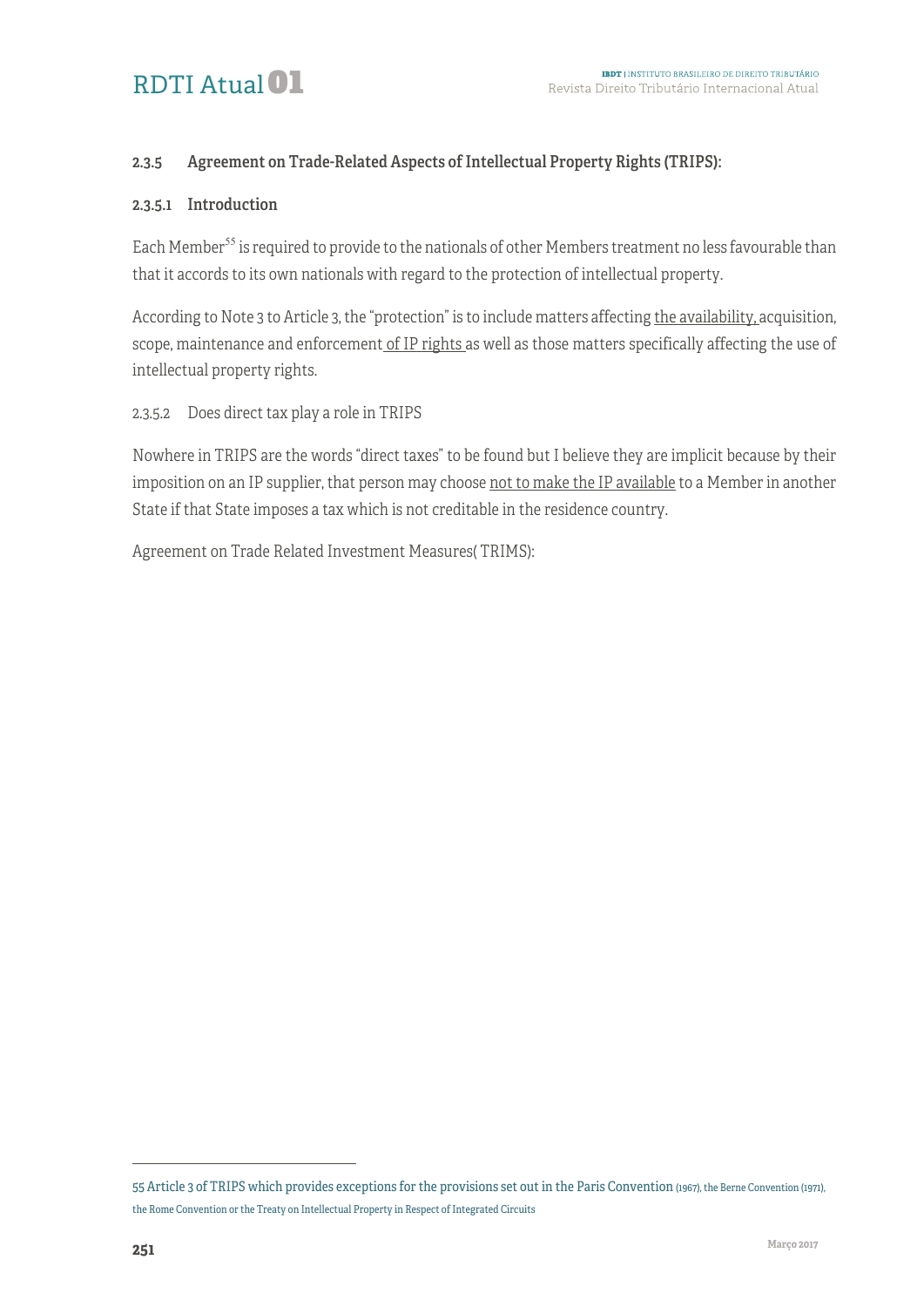# RDTI Atual<sup>01</sup>

#### 2.3.5 Agreement on Trade-Related Aspects of Intellectual Property Rights (TRIPS):

#### 2.3.5.1 Introduction

Each Member<sup>55</sup> is required to provide to the nationals of other Members treatment no less favourable than that it accords to its own nationals with regard to the protection of intellectual property.

According to Note 3 to Article 3, the "protection" is to include matters affecting the availability, acquisition, scope, maintenance and enforcement of IP rights as well as those matters specifically affecting the use of intellectual property rights.

2.3.5.2 Does direct tax play a role in TRIPS

Nowhere in TRIPS are the words "direct taxes" to be found but I believe they are implicit because by their imposition on an IP supplier, that person may choose not to make the IP available to a Member in another State if that State imposes a tax which is not creditable in the residence country.

Agreement on Trade Related Investment Measures( TRIMS):

1

<sup>55</sup> Article 3 of TRIPS which provides exceptions for the provisions set out in the Paris Convention (1967), the Berne Convention (1971), the Rome Convention or the Treaty on Intellectual Property in Respect of Integrated Circuits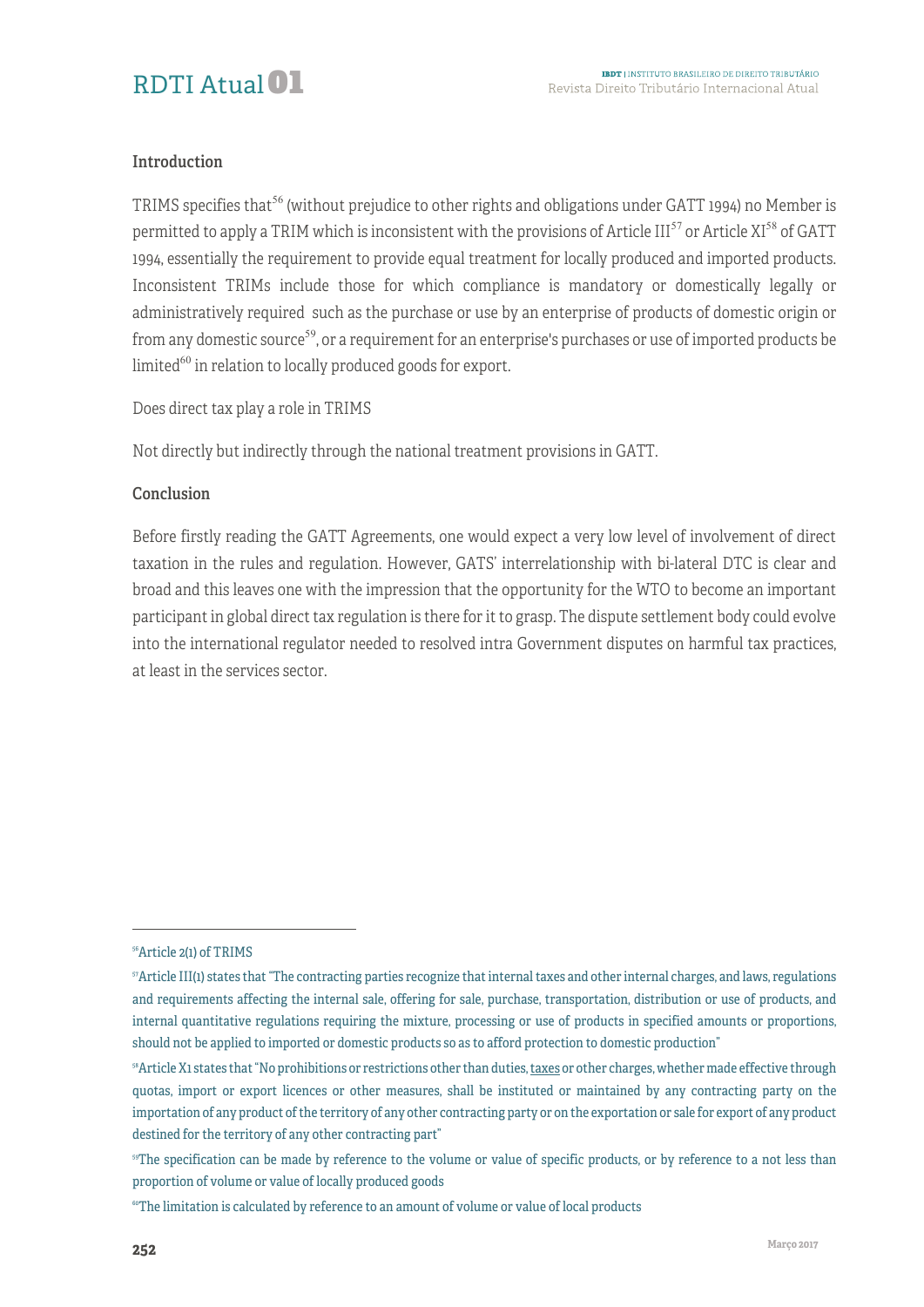#### Introduction

TRIMS specifies that<sup>56</sup> (without prejudice to other rights and obligations under GATT 1994) no Member is permitted to apply a TRIM which is inconsistent with the provisions of Article III<sup>57</sup> or Article XI<sup>58</sup> of GATT 1994, essentially the requirement to provide equal treatment for locally produced and imported products. Inconsistent TRIMs include those for which compliance is mandatory or domestically legally or administratively required such as the purchase or use by an enterprise of products of domestic origin or from any domestic source<sup>59</sup>, or a requirement for an enterprise's purchases or use of imported products be limited $^{60}$  in relation to locally produced goods for export.

Does direct tax play a role in TRIMS

Not directly but indirectly through the national treatment provisions in GATT.

#### Conclusion

Before firstly reading the GATT Agreements, one would expect a very low level of involvement of direct taxation in the rules and regulation. However, GATS' interrelationship with bi-lateral DTC is clear and broad and this leaves one with the impression that the opportunity for the WTO to become an important participant in global direct tax regulation is there for it to grasp. The dispute settlement body could evolve into the international regulator needed to resolved intra Government disputes on harmful tax practices, at least in the services sector.

<sup>-</sup>

<sup>56</sup>Article 2(1) of TRIMS

<sup>57</sup>Article III(1) states that "The contracting parties recognize that internal taxes and other internal charges, and laws, regulations and requirements affecting the internal sale, offering for sale, purchase, transportation, distribution or use of products, and internal quantitative regulations requiring the mixture, processing or use of products in specified amounts or proportions, should not be applied to imported or domestic products so as to afford protection to domestic production"

<sup>&</sup>lt;sup>58</sup>Article X1 states that "No prohibitions or restrictions other than duties, taxes or other charges, whether made effective through quotas, import or export licences or other measures, shall be instituted or maintained by any contracting party on the importation of any product of the territory of any other contracting party or on the exportation or sale for export of any product destined for the territory of any other contracting part"

<sup>&</sup>lt;sup>59</sup>The specification can be made by reference to the volume or value of specific products, or by reference to a not less than proportion of volume or value of locally produced goods

<sup>&</sup>lt;sup>60</sup>The limitation is calculated by reference to an amount of volume or value of local products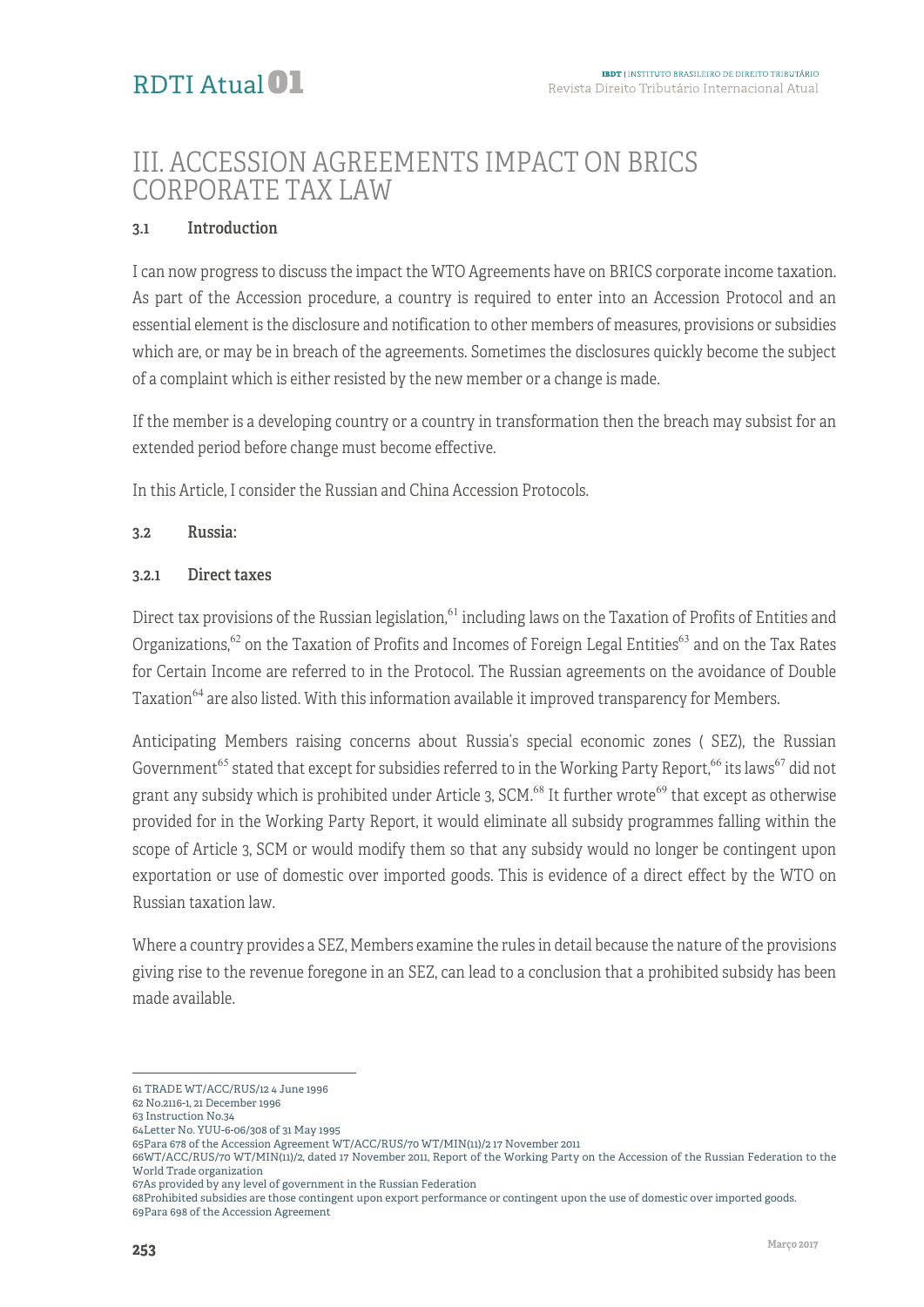### III. ACCESSION AGREEMENTS IMPACT ON BRICS CORPORATE TAX LAW

#### 3.1 Introduction

I can now progress to discuss the impact the WTO Agreements have on BRICS corporate income taxation. As part of the Accession procedure, a country is required to enter into an Accession Protocol and an essential element is the disclosure and notification to other members of measures, provisions or subsidies which are, or may be in breach of the agreements. Sometimes the disclosures quickly become the subject of a complaint which is either resisted by the new member or a change is made.

If the member is a developing country or a country in transformation then the breach may subsist for an extended period before change must become effective.

In this Article, I consider the Russian and China Accession Protocols.

#### 3.2 Russia:

#### 3.2.1 Direct taxes

Direct tax provisions of the Russian legislation,  $61$  including laws on the Taxation of Profits of Entities and Organizations,<sup>62</sup> on the Taxation of Profits and Incomes of Foreign Legal Entities<sup>63</sup> and on the Tax Rates for Certain Income are referred to in the Protocol. The Russian agreements on the avoidance of Double Taxation<sup>64</sup> are also listed. With this information available it improved transparency for Members.

Anticipating Members raising concerns about Russia's special economic zones ( SEZ), the Russian Government<sup>65</sup> stated that except for subsidies referred to in the Working Party Report,<sup>66</sup> its laws<sup>67</sup> did not grant any subsidy which is prohibited under Article 3, SCM.<sup>68</sup> It further wrote<sup>69</sup> that except as otherwise provided for in the Working Party Report, it would eliminate all subsidy programmes falling within the scope of Article 3, SCM or would modify them so that any subsidy would no longer be contingent upon exportation or use of domestic over imported goods. This is evidence of a direct effect by the WTO on Russian taxation law.

Where a country provides a SEZ, Members examine the rules in detail because the nature of the provisions giving rise to the revenue foregone in an SEZ, can lead to a conclusion that a prohibited subsidy has been made available.

66WT/ACC/RUS/70 WT/MIN(11)/2, dated 17 November 2011, Report of the Working Party on the Accession of the Russian Federation to the World Trade organization

67As provided by any level of government in the Russian Federation

68Prohibited subsidies are those contingent upon export performance or contingent upon the use of domestic over imported goods. 69Para 698 of the Accession Agreement

<sup>-</sup>

<sup>61</sup> TRADE WT/ACC/RUS/12 4 June 1996

<sup>62</sup> No.2116-1, 21 December 1996

<sup>63</sup> Instruction No.34 64Letter No. YUU-6-06/308 of 31 May 1995

<sup>65</sup>Para 678 of the Accession Agreement WT/ACC/RUS/70 WT/MIN(11)/2 17 November 2011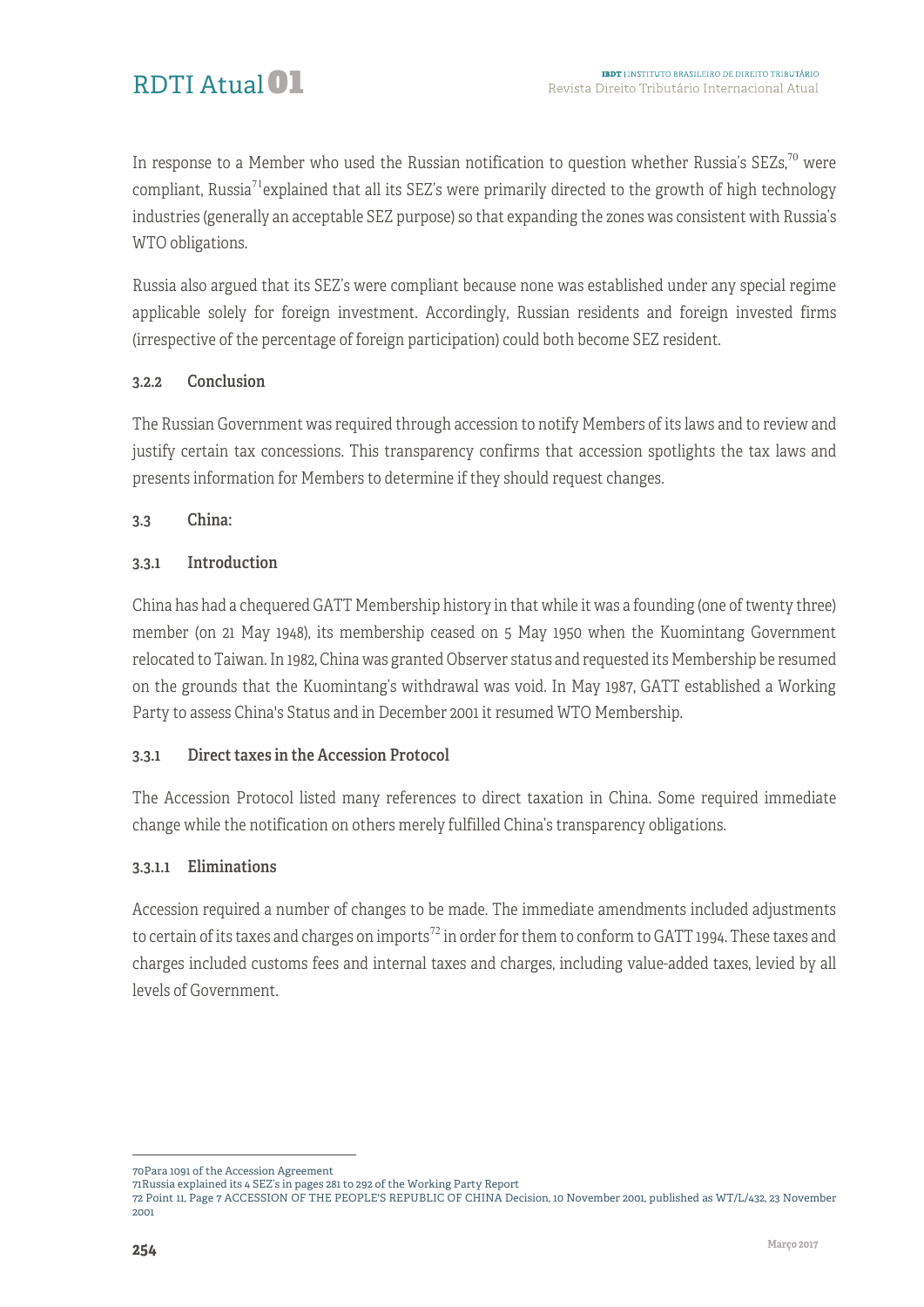In response to a Member who used the Russian notification to question whether Russia's  $SEZs$ <sup>70</sup> were compliant, Russia<sup>71</sup> explained that all its SEZ's were primarily directed to the growth of high technology industries (generally an acceptable SEZ purpose) so that expanding the zones was consistent with Russia's WTO obligations.

Russia also argued that its SEZ's were compliant because none was established under any special regime applicable solely for foreign investment. Accordingly, Russian residents and foreign invested firms (irrespective of the percentage of foreign participation) could both become SEZ resident.

#### 3.2.2 Conclusion

The Russian Government was required through accession to notify Members of its laws and to review and justify certain tax concessions. This transparency confirms that accession spotlights the tax laws and presents information for Members to determine if they should request changes.

#### 3.3 China:

#### 3.3.1 Introduction

China has had a chequered GATT Membership history in that while it was a founding (one of twenty three) member (on 21 May 1948), its membership ceased on 5 May 1950 when the Kuomintang Government relocated to Taiwan. In 1982, China was granted Observer status and requested its Membership be resumed on the grounds that the Kuomintang's withdrawal was void. In May 1987, GATT established a Working Party to assess China's Status and in December 2001 it resumed WTO Membership.

#### 3.3.1 Direct taxes in the Accession Protocol

The Accession Protocol listed many references to direct taxation in China. Some required immediate change while the notification on others merely fulfilled China's transparency obligations.

#### 3.3.1.1 Eliminations

Accession required a number of changes to be made. The immediate amendments included adjustments to certain of its taxes and charges on imports<sup>72</sup> in order for them to conform to GATT 1994. These taxes and charges included customs fees and internal taxes and charges, including value-added taxes, levied by all levels of Government.

<sup>1</sup> 70Para 1091 of the Accession Agreement

<sup>71</sup>Russia explained its 4 SEZ's in pages 281 to 292 of the Working Party Report

<sup>72</sup> Point 11, Page 7 ACCESSION OF THE PEOPLE'S REPUBLIC OF CHINA Decision, 10 November 2001, published as WT/L/432, 23 November 2001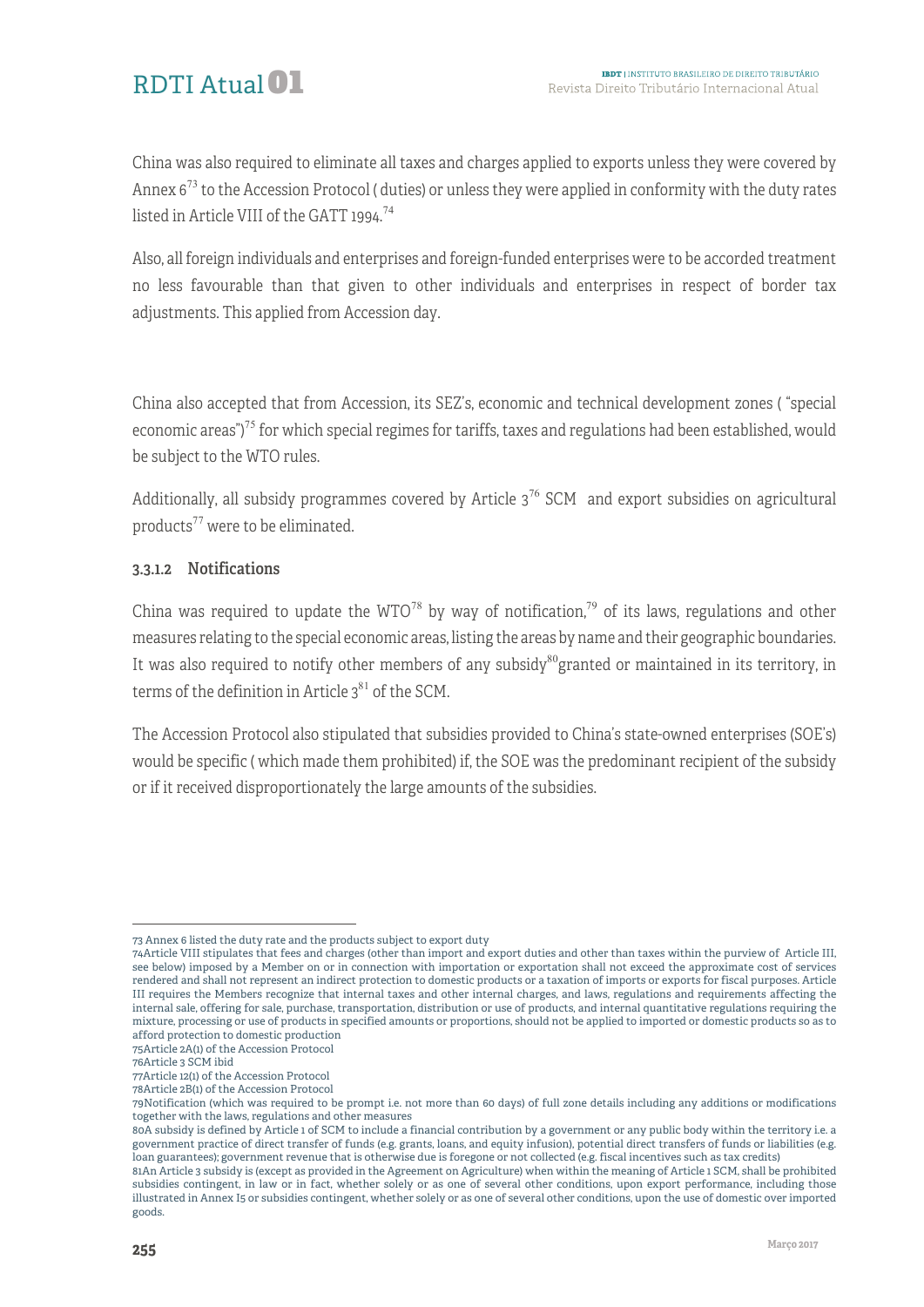# RDTI Atual01

China was also required to eliminate all taxes and charges applied to exports unless they were covered by Annex 6<sup>73</sup> to the Accession Protocol ( duties) or unless they were applied in conformity with the duty rates listed in Article VIII of the GATT 1994.<sup>74</sup>

Also, all foreign individuals and enterprises and foreign-funded enterprises were to be accorded treatment no less favourable than that given to other individuals and enterprises in respect of border tax adjustments. This applied from Accession day.

China also accepted that from Accession, its SEZ's, economic and technical development zones ( "special economic areas")<sup>75</sup> for which special regimes for tariffs, taxes and regulations had been established, would be subject to the WTO rules.

Additionally, all subsidy programmes covered by Article  $3^{76}$  SCM and export subsidies on agricultural products<sup>77</sup> were to be eliminated.

#### 3.3.1.2 Notifications

China was required to update the  $WTO^{78}$  by way of notification,<sup>79</sup> of its laws, regulations and other measures relating to the special economic areas, listing the areas by name and their geographic boundaries. It was also required to notify other members of any subsidy<sup>80</sup>granted or maintained in its territory, in terms of the definition in Article  $3^{81}$  of the SCM.

The Accession Protocol also stipulated that subsidies provided to China's state-owned enterprises (SOE's) would be specific ( which made them prohibited) if, the SOE was the predominant recipient of the subsidy or if it received disproportionately the large amounts of the subsidies.

<sup>1</sup> 73 Annex 6 listed the duty rate and the products subject to export duty

<sup>74</sup>Article VIII stipulates that fees and charges (other than import and export duties and other than taxes within the purview of Article III, see below) imposed by a Member on or in connection with importation or exportation shall not exceed the approximate cost of services rendered and shall not represent an indirect protection to domestic products or a taxation of imports or exports for fiscal purposes. Article III requires the Members recognize that internal taxes and other internal charges, and laws, regulations and requirements affecting the internal sale, offering for sale, purchase, transportation, distribution or use of products, and internal quantitative regulations requiring the mixture, processing or use of products in specified amounts or proportions, should not be applied to imported or domestic products so as to afford protection to domestic production

<sup>75</sup>Article 2A(1) of the Accession Protocol

<sup>76</sup>Article 3 SCM ibid

<sup>77</sup>Article 12(1) of the Accession Protocol

<sup>78</sup>Article 2B(1) of the Accession Protocol

<sup>79</sup>Notification (which was required to be prompt i.e. not more than 60 days) of full zone details including any additions or modifications together with the laws, regulations and other measures

<sup>80</sup>A subsidy is defined by Article 1 of SCM to include a financial contribution by a government or any public body within the territory i.e. a government practice of direct transfer of funds (e.g. grants, loans, and equity infusion), potential direct transfers of funds or liabilities (e.g. loan guarantees); government revenue that is otherwise due is foregone or not collected (e.g. fiscal incentives such as tax credits)

<sup>81</sup>An Article 3 subsidy is (except as provided in the Agreement on Agriculture) when within the meaning of Article 1 SCM, shall be prohibited subsidies contingent, in law or in fact, whether solely or as one of several other conditions, upon export performance, including those illustrated in Annex I5 or subsidies contingent, whether solely or as one of several other conditions, upon the use of domestic over imported goods.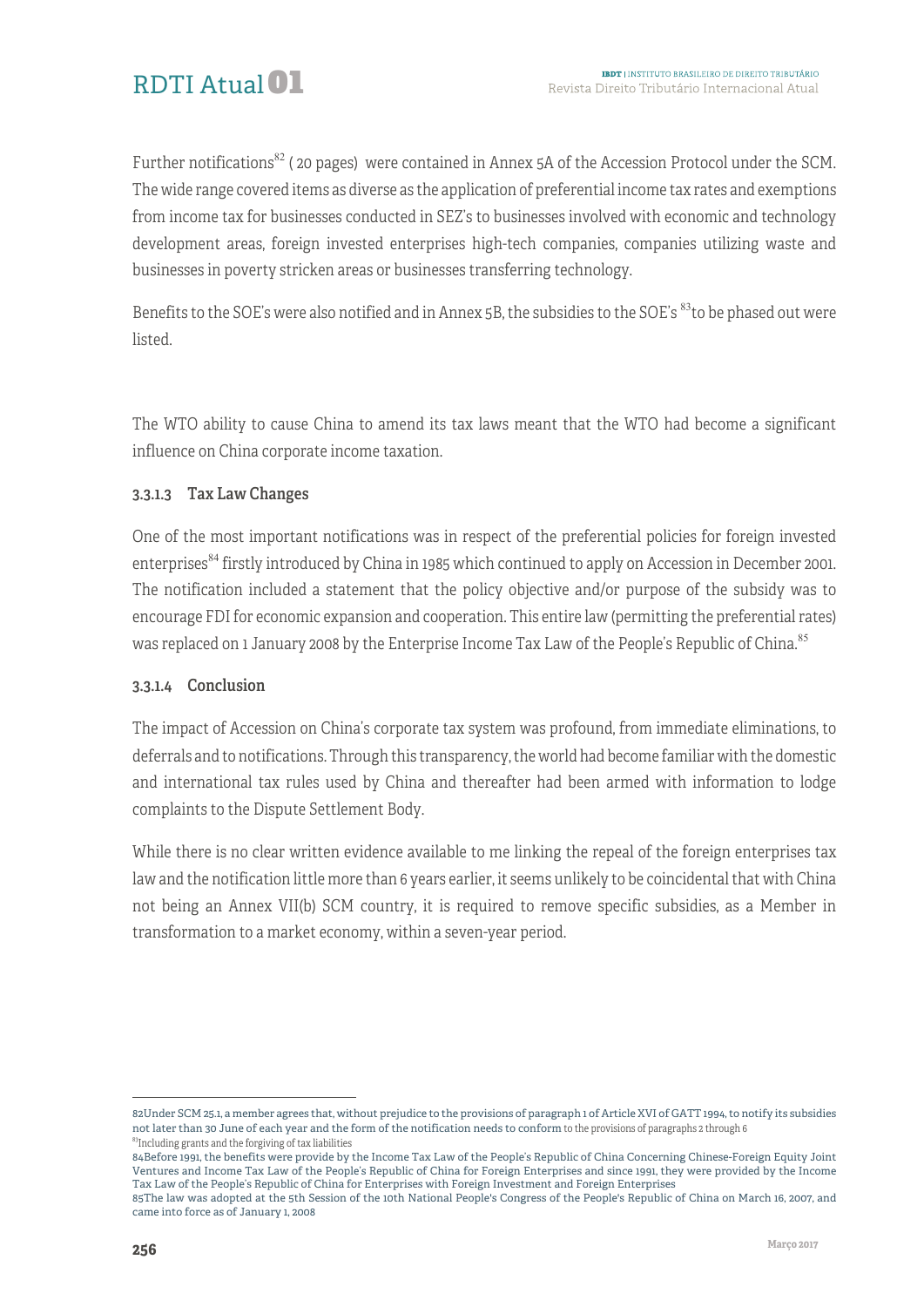

Further notifications<sup>82</sup> (20 pages) were contained in Annex 5A of the Accession Protocol under the SCM. The wide range covered items as diverse as the application of preferential income tax rates and exemptions from income tax for businesses conducted in SEZ's to businesses involved with economic and technology development areas, foreign invested enterprises high-tech companies, companies utilizing waste and businesses in poverty stricken areas or businesses transferring technology.

Benefits to the SOE's were also notified and in Annex 5B, the subsidies to the SOE's <sup>83</sup>to be phased out were listed.

The WTO ability to cause China to amend its tax laws meant that the WTO had become a significant influence on China corporate income taxation.

#### 3.3.1.3 Tax Law Changes

One of the most important notifications was in respect of the preferential policies for foreign invested enterprises<sup>84</sup> firstly introduced by China in 1985 which continued to apply on Accession in December 2001. The notification included a statement that the policy objective and/or purpose of the subsidy was to encourage FDI for economic expansion and cooperation. This entire law (permitting the preferential rates) was replaced on 1 January 2008 by the Enterprise Income Tax Law of the People's Republic of China.<sup>85</sup>

#### 3.3.1.4 Conclusion

The impact of Accession on China's corporate tax system was profound, from immediate eliminations, to deferrals and to notifications. Through this transparency, the world had become familiar with the domestic and international tax rules used by China and thereafter had been armed with information to lodge complaints to the Dispute Settlement Body.

While there is no clear written evidence available to me linking the repeal of the foreign enterprises tax law and the notification little more than 6 years earlier, it seems unlikely to be coincidental that with China not being an Annex VII(b) SCM country, it is required to remove specific subsidies, as a Member in transformation to a market economy, within a seven-year period.

1

<sup>82</sup>Under SCM 25.1, a member agrees that, without prejudice to the provisions of paragraph 1 of Article XVI of GATT 1994, to notify its subsidies not later than 30 June of each year and the form of the notification needs to conform to the provisions of paragraphs 2 through 6  $83$ Including grants and the forgiving of tax liabilities

<sup>84</sup>Before 1991, the benefits were provide by the Income Tax Law of the People's Republic of China Concerning Chinese-Foreign Equity Joint Ventures and Income Tax Law of the People's Republic of China for Foreign Enterprises and since 1991, they were provided by the Income Tax Law of the People's Republic of China for Enterprises with Foreign Investment and Foreign Enterprises

<sup>85</sup>The law was adopted at the 5th Session of the 10th National People's Congress of the People's Republic of China on March 16, 2007, and came into force as of January 1, 2008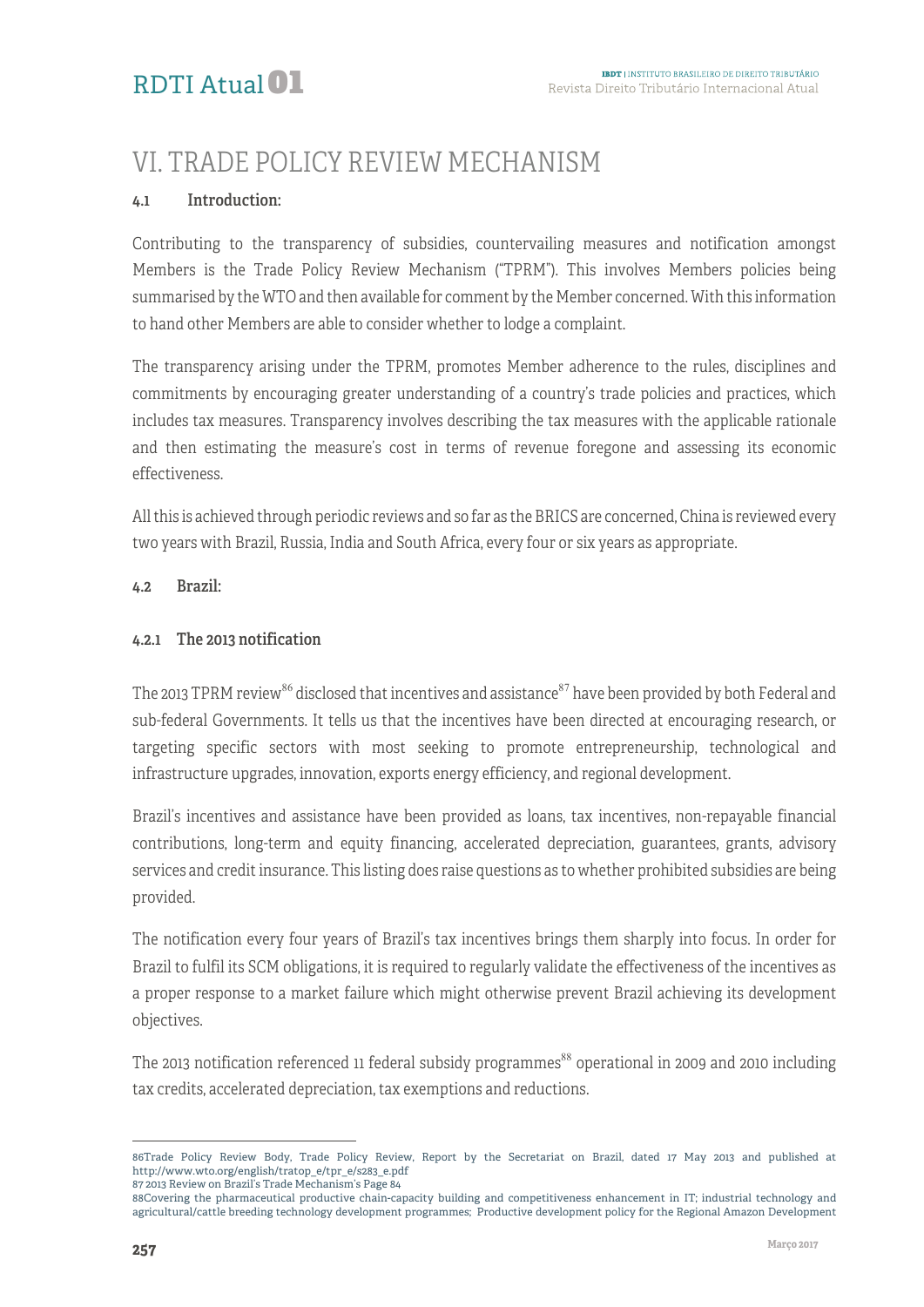# VI. TRADE POLICY REVIEW MECHANISM

#### 4.1 Introduction:

Contributing to the transparency of subsidies, countervailing measures and notification amongst Members is the Trade Policy Review Mechanism ("TPRM"). This involves Members policies being summarised by the WTO and then available for comment by the Member concerned. With this information to hand other Members are able to consider whether to lodge a complaint.

The transparency arising under the TPRM, promotes Member adherence to the rules, disciplines and commitments by encouraging greater understanding of a country's trade policies and practices, which includes tax measures. Transparency involves describing the tax measures with the applicable rationale and then estimating the measure's cost in terms of revenue foregone and assessing its economic effectiveness.

All this is achieved through periodic reviews and so far as the BRICS are concerned, China is reviewed every two years with Brazil, Russia, India and South Africa, every four or six years as appropriate.

#### 4.2 Brazil:

#### 4.2.1 The 2013 notification

The 2013 TPRM review<sup>86</sup> disclosed that incentives and assistance<sup>87</sup> have been provided by both Federal and sub-federal Governments. It tells us that the incentives have been directed at encouraging research, or targeting specific sectors with most seeking to promote entrepreneurship, technological and infrastructure upgrades, innovation, exports energy efficiency, and regional development.

Brazil's incentives and assistance have been provided as loans, tax incentives, non-repayable financial contributions, long-term and equity financing, accelerated depreciation, guarantees, grants, advisory services and credit insurance. This listing does raise questions as to whether prohibited subsidies are being provided.

The notification every four years of Brazil's tax incentives brings them sharply into focus. In order for Brazil to fulfil its SCM obligations, it is required to regularly validate the effectiveness of the incentives as a proper response to a market failure which might otherwise prevent Brazil achieving its development objectives.

The 2013 notification referenced 11 federal subsidy programmes<sup>88</sup> operational in 2009 and 2010 including tax credits, accelerated depreciation, tax exemptions and reductions.

<sup>&</sup>lt;sup>-</sup> 86Trade Policy Review Body, Trade Policy Review, Report by the Secretariat on Brazil, dated 17 May 2013 and published at http://www.wto.org/english/tratop\_e/tpr\_e/s283\_e.pdf 87 2013 Review on Brazil's Trade Mechanism's Page 84

<sup>88</sup>Covering the pharmaceutical productive chain-capacity building and competitiveness enhancement in IT; industrial technology and agricultural/cattle breeding technology development programmes; Productive development policy for the Regional Amazon Development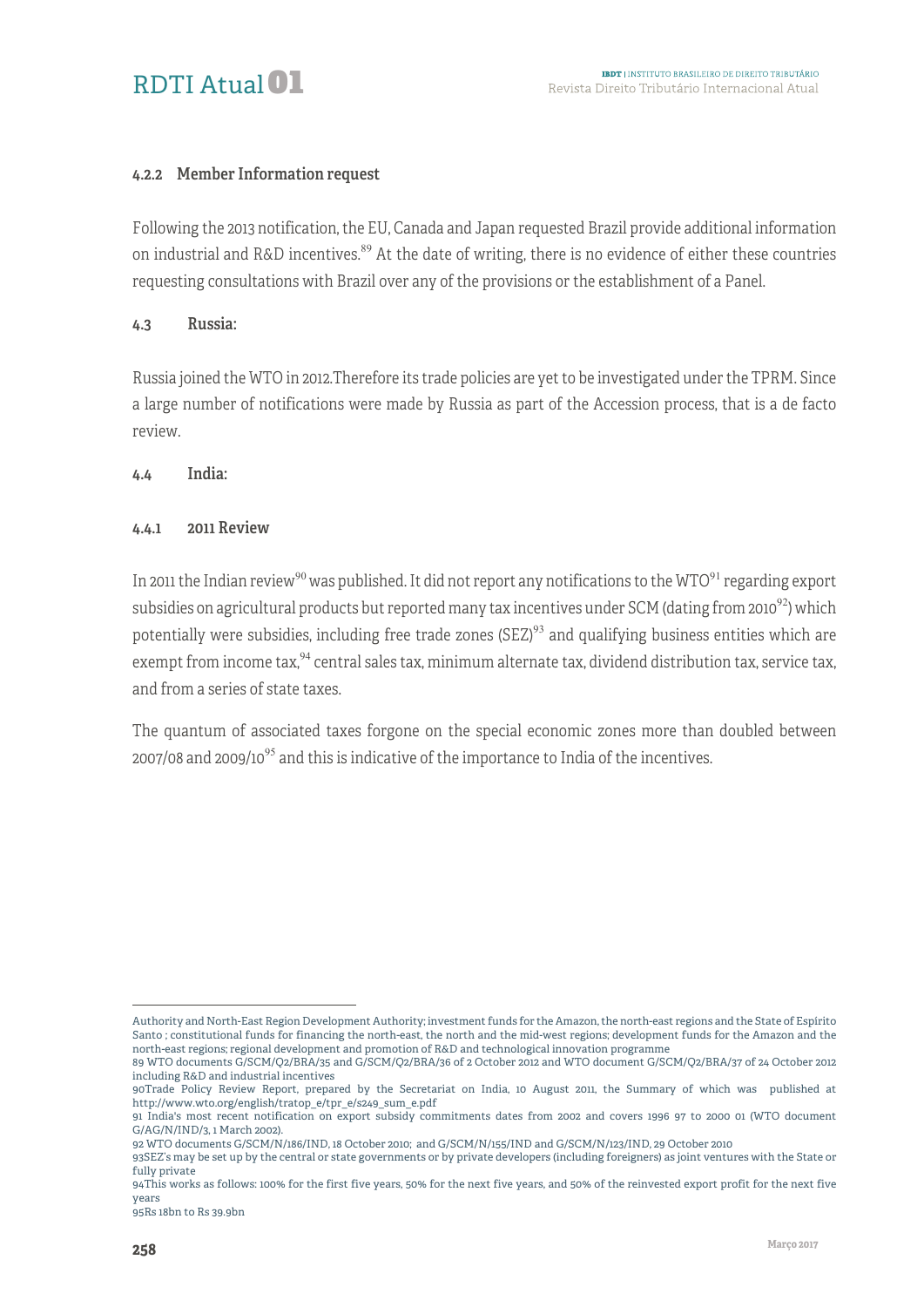

#### 4.2.2 Member Information request

Following the 2013 notification, the EU, Canada and Japan requested Brazil provide additional information on industrial and R&D incentives.<sup>89</sup> At the date of writing, there is no evidence of either these countries requesting consultations with Brazil over any of the provisions or the establishment of a Panel.

#### 4.3 Russia:

Russia joined the WTO in 2012.Therefore its trade policies are yet to be investigated under the TPRM. Since a large number of notifications were made by Russia as part of the Accession process, that is a de facto review.

4.4 India:

#### 4.4.1 2011 Review

In 2011 the Indian review<sup>90</sup> was published. It did not report any notifications to the WTO<sup>91</sup> regarding export subsidies on agricultural products but reported many tax incentives under SCM (dating from 2010<sup>92</sup>) which potentially were subsidies, including free trade zones (SEZ) $93$  and qualifying business entities which are exempt from income tax,  $94$  central sales tax, minimum alternate tax, dividend distribution tax, service tax, and from a series of state taxes.

The quantum of associated taxes forgone on the special economic zones more than doubled between 2007/08 and 2009/10 $95$  and this is indicative of the importance to India of the incentives.

<u>.</u>

Authority and North-East Region Development Authority; investment funds for the Amazon, the north-east regions and the State of Espírito Santo ; constitutional funds for financing the north-east, the north and the mid-west regions; development funds for the Amazon and the north-east regions; regional development and promotion of R&D and technological innovation programme

<sup>89</sup> WTO documents G/SCM/Q2/BRA/35 and G/SCM/Q2/BRA/36 of 2 October 2012 and WTO document G/SCM/Q2/BRA/37 of 24 October 2012 including R&D and industrial incentives

<sup>90</sup>Trade Policy Review Report, prepared by the Secretariat on India, 10 August 2011, the Summary of which was published at http://www.wto.org/english/tratop\_e/tpr\_e/s249\_sum\_e.pdf

<sup>91</sup> India's most recent notification on export subsidy commitments dates from 2002 and covers 1996 97 to 2000 01 (WTO document G/AG/N/IND/3, 1 March 2002).

<sup>92</sup> WTO documents G/SCM/N/186/IND, 18 October 2010; and G/SCM/N/155/IND and G/SCM/N/123/IND, 29 October 2010

<sup>93</sup>SEZ's may be set up by the central or state governments or by private developers (including foreigners) as joint ventures with the State or fully private

<sup>94</sup>This works as follows: 100% for the first five years, 50% for the next five years, and 50% of the reinvested export profit for the next five years

<sup>95</sup>Rs 18bn to Rs 39.9bn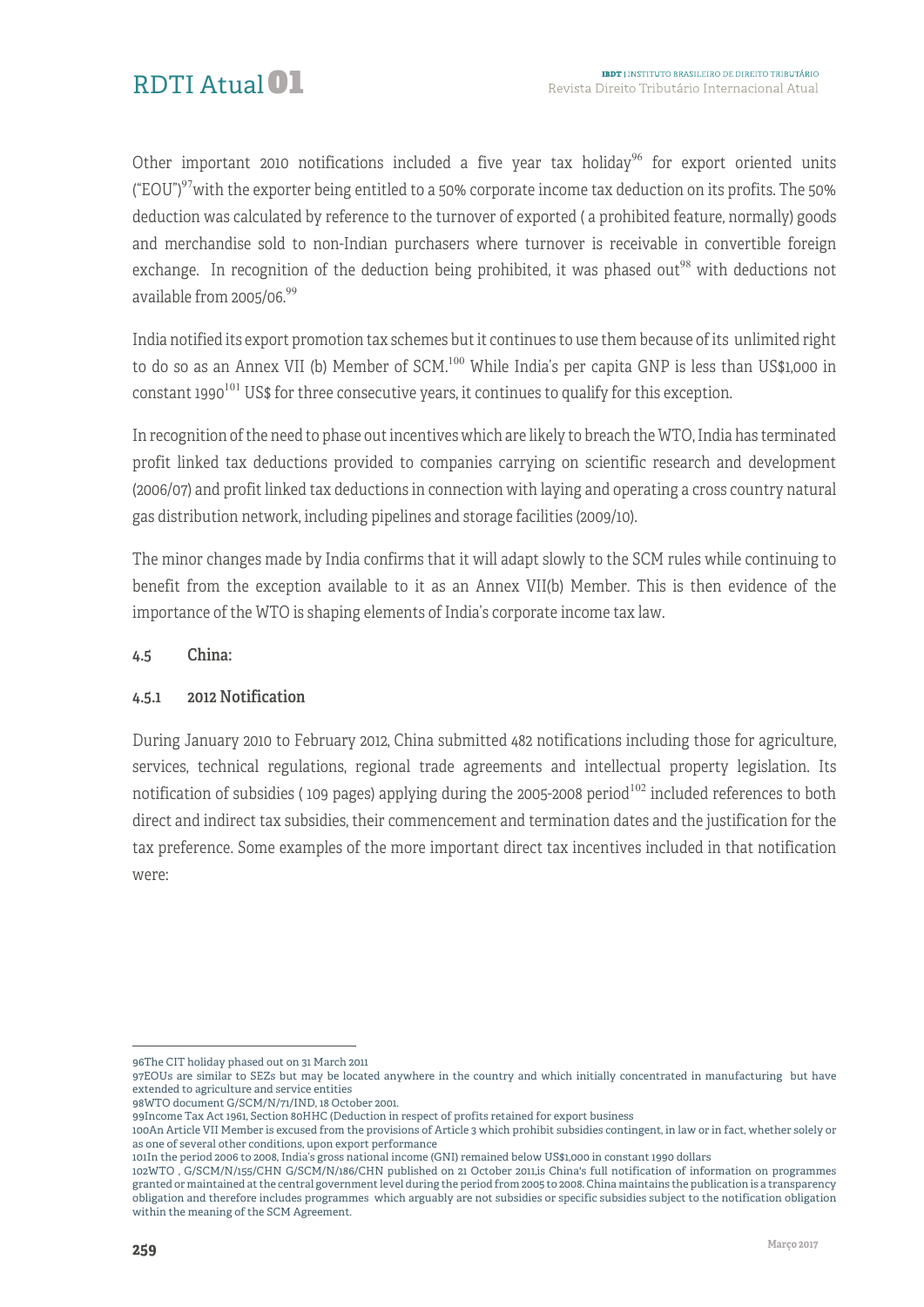Other important 2010 notifications included a five year tax holiday<sup>96</sup> for export oriented units ("EOU") $97$  with the exporter being entitled to a 50% corporate income tax deduction on its profits. The 50% deduction was calculated by reference to the turnover of exported ( a prohibited feature, normally) goods and merchandise sold to non-Indian purchasers where turnover is receivable in convertible foreign exchange. In recognition of the deduction being prohibited, it was phased out<sup>98</sup> with deductions not available from 2005/06.99

India notified its export promotion tax schemes but it continues to use them because of its unlimited right to do so as an Annex VII (b) Member of SCM.<sup>100</sup> While India's per capita GNP is less than US\$1,000 in constant 1990<sup>101</sup> US\$ for three consecutive years, it continues to qualify for this exception.

In recognition of the need to phase out incentives which are likely to breach the WTO, India has terminated profit linked tax deductions provided to companies carrying on scientific research and development (2006/07) and profit linked tax deductions in connection with laying and operating a cross country natural gas distribution network, including pipelines and storage facilities (2009/10).

The minor changes made by India confirms that it will adapt slowly to the SCM rules while continuing to benefit from the exception available to it as an Annex VII(b) Member. This is then evidence of the importance of the WTO is shaping elements of India's corporate income tax law.

#### 4.5 China:

#### 4.5.1 2012 Notification

During January 2010 to February 2012, China submitted 482 notifications including those for agriculture, services, technical regulations, regional trade agreements and intellectual property legislation. Its notification of subsidies (109 pages) applying during the 2005-2008 period<sup>102</sup> included references to both direct and indirect tax subsidies, their commencement and termination dates and the justification for the tax preference. Some examples of the more important direct tax incentives included in that notification were:

1

<sup>96</sup>The CIT holiday phased out on 31 March 2011

<sup>97</sup>EOUs are similar to SEZs but may be located anywhere in the country and which initially concentrated in manufacturing but have extended to agriculture and service entities

<sup>98</sup>WTO document G/SCM/N/71/IND, 18 October 2001.

<sup>99</sup>Income Tax Act 1961, Section 80HHC (Deduction in respect of profits retained for export business

<sup>100</sup>An Article VII Member is excused from the provisions of Article 3 which prohibit subsidies contingent, in law or in fact, whether solely or as one of several other conditions, upon export performance

<sup>101</sup>In the period 2006 to 2008, India's gross national income (GNI) remained below US\$1,000 in constant 1990 dollars

<sup>102</sup>WTO , G/SCM/N/155/CHN G/SCM/N/186/CHN published on 21 October 2011,is China's full notification of information on programmes granted or maintained at the central government level during the period from 2005 to 2008. China maintains the publication is a transparency obligation and therefore includes programmes which arguably are not subsidies or specific subsidies subject to the notification obligation within the meaning of the SCM Agreement.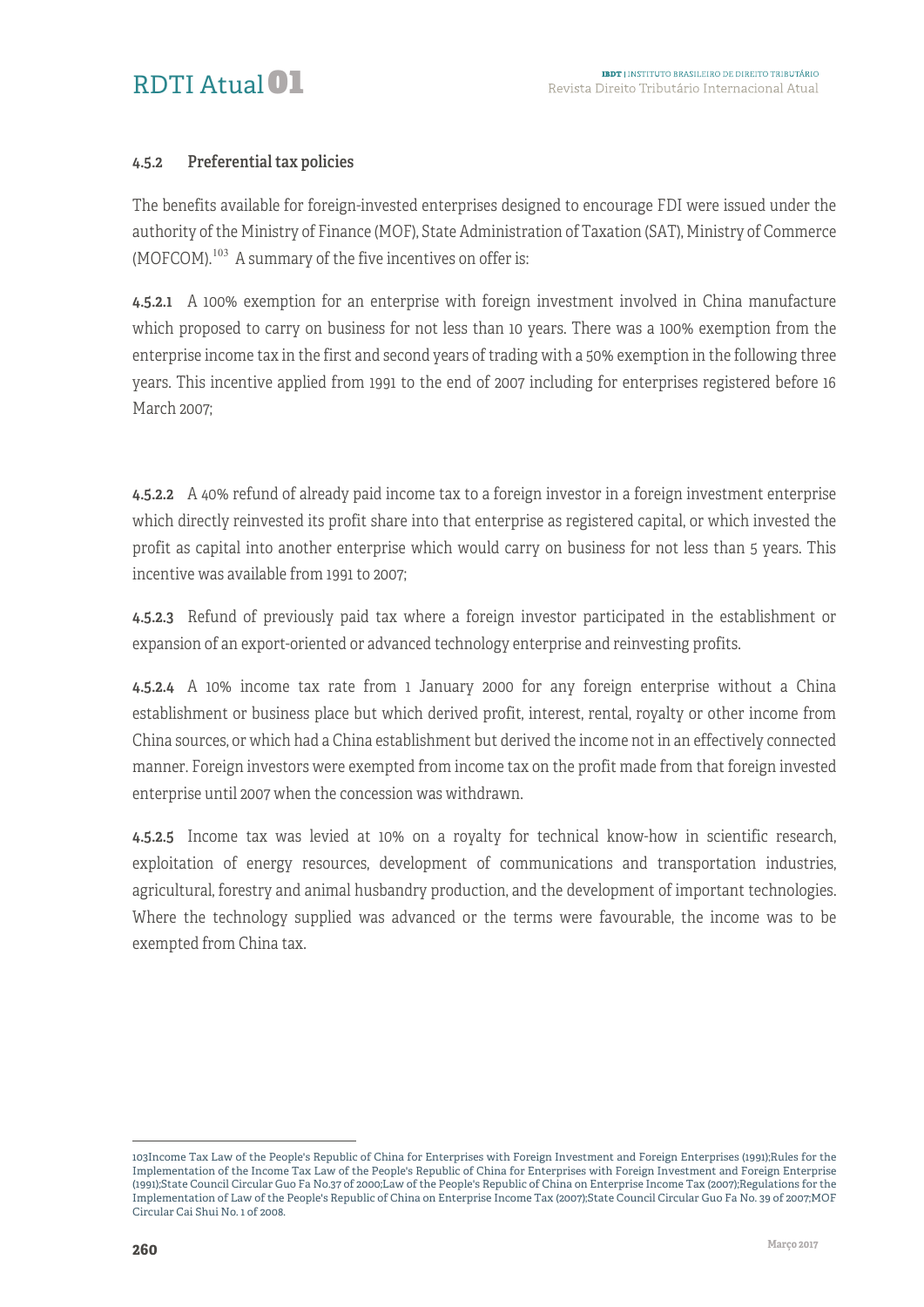#### 4.5.2 Preferential tax policies

The benefits available for foreign-invested enterprises designed to encourage FDI were issued under the authority of the Ministry of Finance (MOF), State Administration of Taxation (SAT), Ministry of Commerce  $(MOFCOM).$ <sup>103</sup> A summary of the five incentives on offer is:

4.5.2.1 A 100% exemption for an enterprise with foreign investment involved in China manufacture which proposed to carry on business for not less than 10 years. There was a 100% exemption from the enterprise income tax in the first and second years of trading with a 50% exemption in the following three years. This incentive applied from 1991 to the end of 2007 including for enterprises registered before 16 March 2007;

4.5.2.2 A 40% refund of already paid income tax to a foreign investor in a foreign investment enterprise which directly reinvested its profit share into that enterprise as registered capital, or which invested the profit as capital into another enterprise which would carry on business for not less than 5 years. This incentive was available from 1991 to 2007;

4.5.2.3 Refund of previously paid tax where a foreign investor participated in the establishment or expansion of an export-oriented or advanced technology enterprise and reinvesting profits.

4.5.2.4 A 10% income tax rate from 1 January 2000 for any foreign enterprise without a China establishment or business place but which derived profit, interest, rental, royalty or other income from China sources, or which had a China establishment but derived the income not in an effectively connected manner. Foreign investors were exempted from income tax on the profit made from that foreign invested enterprise until 2007 when the concession was withdrawn.

4.5.2.5 Income tax was levied at 10% on a royalty for technical know-how in scientific research, exploitation of energy resources, development of communications and transportation industries, agricultural, forestry and animal husbandry production, and the development of important technologies. Where the technology supplied was advanced or the terms were favourable, the income was to be exempted from China tax.

<sup>&</sup>lt;sup>-</sup> 103Income Tax Law of the People's Republic of China for Enterprises with Foreign Investment and Foreign Enterprises (1991);Rules for the Implementation of the Income Tax Law of the People's Republic of China for Enterprises with Foreign Investment and Foreign Enterprise (1991);State Council Circular Guo Fa No.37 of 2000;Law of the People's Republic of China on Enterprise Income Tax (2007);Regulations for the Implementation of Law of the People's Republic of China on Enterprise Income Tax (2007);State Council Circular Guo Fa No. 39 of 2007;MOF Circular Cai Shui No. 1 of 2008.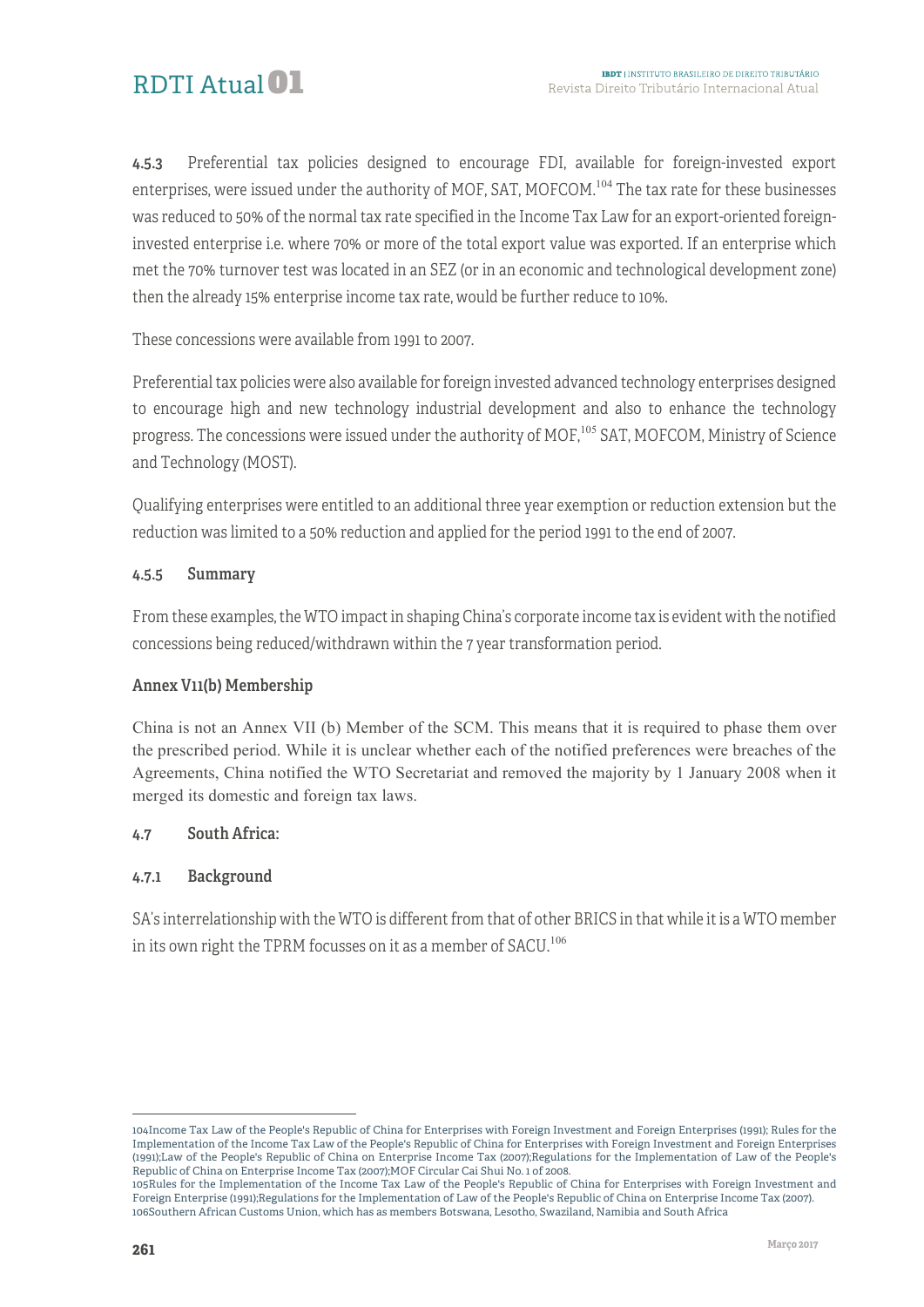4.5.3 Preferential tax policies designed to encourage FDI, available for foreign-invested export enterprises, were issued under the authority of MOF, SAT, MOFCOM.<sup>104</sup> The tax rate for these businesses was reduced to 50% of the normal tax rate specified in the Income Tax Law for an export-oriented foreigninvested enterprise i.e. where 70% or more of the total export value was exported. If an enterprise which met the 70% turnover test was located in an SEZ (or in an economic and technological development zone) then the already 15% enterprise income tax rate, would be further reduce to 10%.

These concessions were available from 1991 to 2007.

Preferential tax policies were also available for foreign invested advanced technology enterprises designed to encourage high and new technology industrial development and also to enhance the technology progress. The concessions were issued under the authority of MOF,<sup>105</sup> SAT, MOFCOM, Ministry of Science and Technology (MOST).

Qualifying enterprises were entitled to an additional three year exemption or reduction extension but the reduction was limited to a 50% reduction and applied for the period 1991 to the end of 2007.

#### 4.5.5 Summary

From these examples, the WTO impact in shaping China's corporate income tax is evident with the notified concessions being reduced/withdrawn within the 7 year transformation period.

#### Annex V11(b) Membership

China is not an Annex VII (b) Member of the SCM. This means that it is required to phase them over the prescribed period. While it is unclear whether each of the notified preferences were breaches of the Agreements, China notified the WTO Secretariat and removed the majority by 1 January 2008 when it merged its domestic and foreign tax laws.

#### 4.7 South Africa:

#### 4.7.1 Background

SA's interrelationship with the WTO is different from that of other BRICS in that while it is a WTO member in its own right the TPRM focusses on it as a member of SACU.<sup>106</sup>

1

<sup>104</sup>Income Tax Law of the People's Republic of China for Enterprises with Foreign Investment and Foreign Enterprises (1991); Rules for the Implementation of the Income Tax Law of the People's Republic of China for Enterprises with Foreign Investment and Foreign Enterprises (1991);Law of the People's Republic of China on Enterprise Income Tax (2007);Regulations for the Implementation of Law of the People's Republic of China on Enterprise Income Tax (2007);MOF Circular Cai Shui No. 1 of 2008.

<sup>105</sup>Rules for the Implementation of the Income Tax Law of the People's Republic of China for Enterprises with Foreign Investment and Foreign Enterprise (1991);Regulations for the Implementation of Law of the People's Republic of China on Enterprise Income Tax (2007). 106Southern African Customs Union, which has as members Botswana, Lesotho, Swaziland, Namibia and South Africa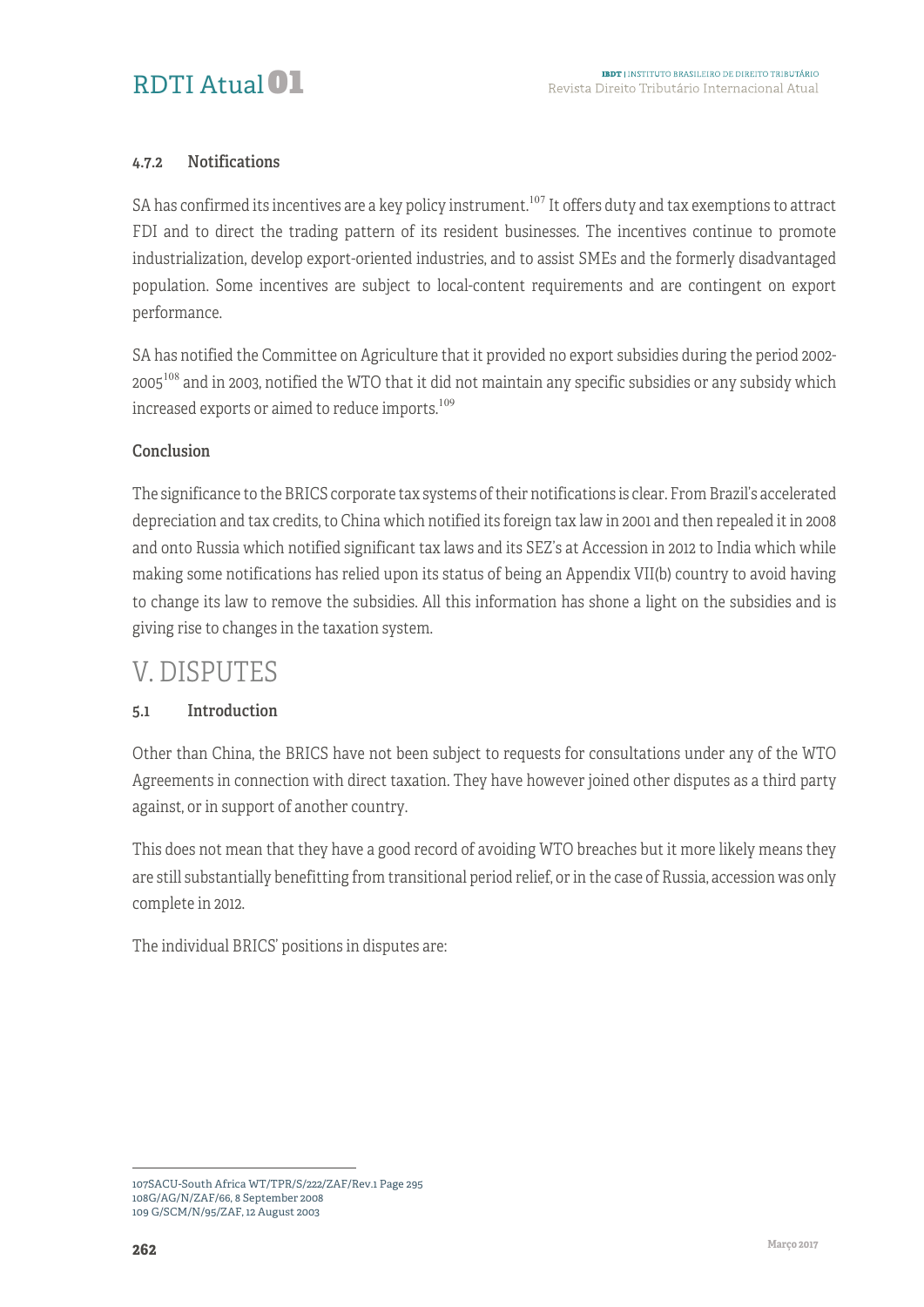#### 4.7.2 Notifications

SA has confirmed its incentives are a key policy instrument.<sup>107</sup> It offers duty and tax exemptions to attract FDI and to direct the trading pattern of its resident businesses. The incentives continue to promote industrialization, develop export-oriented industries, and to assist SMEs and the formerly disadvantaged population. Some incentives are subject to local-content requirements and are contingent on export performance.

SA has notified the Committee on Agriculture that it provided no export subsidies during the period 2002- 2005<sup>108</sup> and in 2003, notified the WTO that it did not maintain any specific subsidies or any subsidy which increased exports or aimed to reduce imports.<sup>109</sup>

#### Conclusion

The significance to the BRICS corporate tax systems of their notifications is clear. From Brazil's accelerated depreciation and tax credits, to China which notified its foreign tax law in 2001 and then repealed it in 2008 and onto Russia which notified significant tax laws and its SEZ's at Accession in 2012 to India which while making some notifications has relied upon its status of being an Appendix VII(b) country to avoid having to change its law to remove the subsidies. All this information has shone a light on the subsidies and is giving rise to changes in the taxation system.

### V. DISPUTES

#### 5.1 Introduction

Other than China, the BRICS have not been subject to requests for consultations under any of the WTO Agreements in connection with direct taxation. They have however joined other disputes as a third party against, or in support of another country.

This does not mean that they have a good record of avoiding WTO breaches but it more likely means they are still substantially benefitting from transitional period relief, or in the case of Russia, accession was only complete in 2012.

The individual BRICS' positions in disputes are:

<sup>1</sup> 107SACU-South Africa WT/TPR/S/222/ZAF/Rev.1 Page 295 108G/AG/N/ZAF/66, 8 September 2008 109 G/SCM/N/95/ZAF, 12 August 2003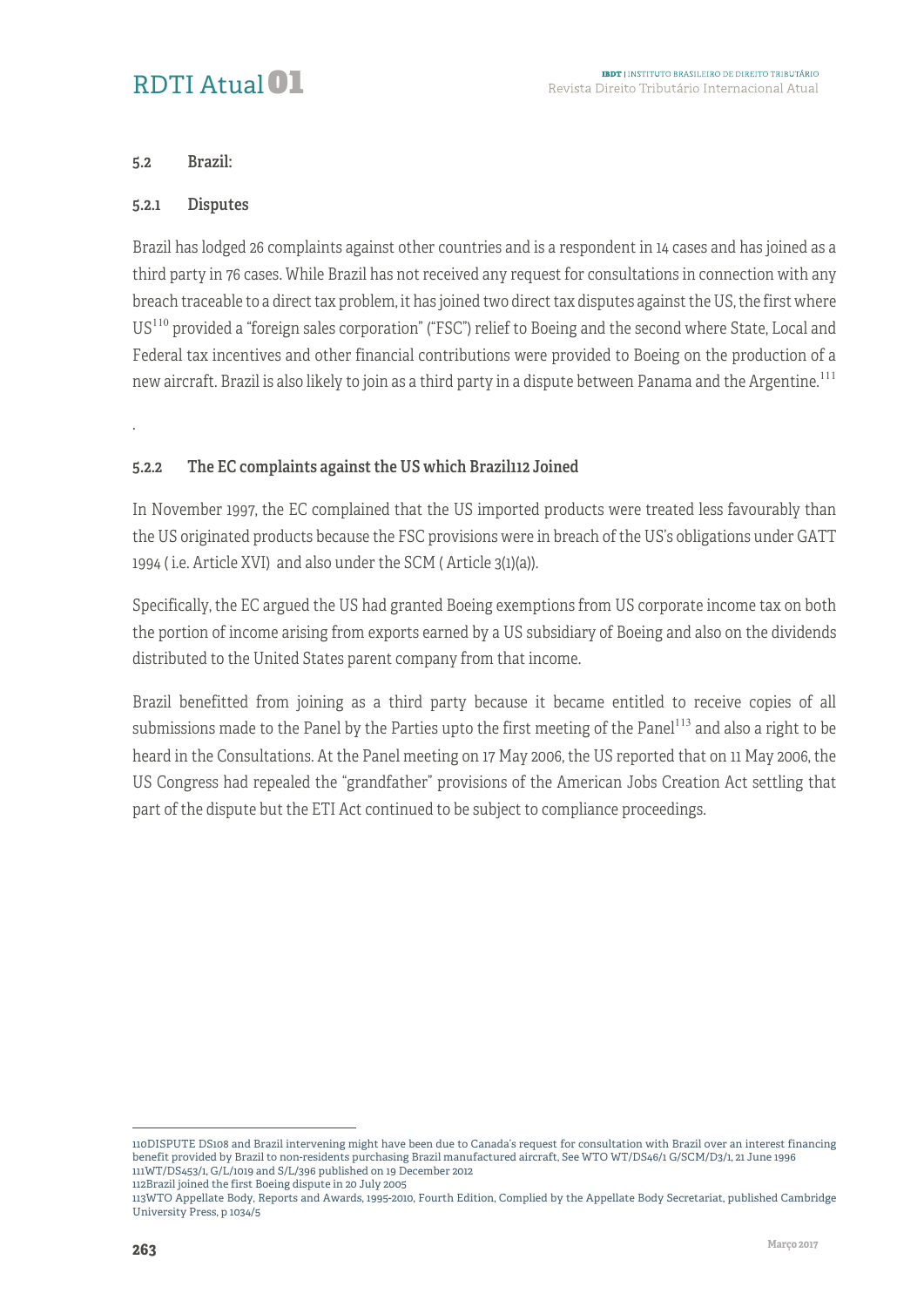### RDTI Atual<sup>01</sup>

#### 5.2 Brazil:

#### 5.2.1 Disputes

Brazil has lodged 26 complaints against other countries and is a respondent in 14 cases and has joined as a third party in 76 cases. While Brazil has not received any request for consultations in connection with any breach traceable to a direct tax problem, it has joined two direct tax disputes against the US, the first where US<sup>110</sup> provided a "foreign sales corporation" ("FSC") relief to Boeing and the second where State, Local and Federal tax incentives and other financial contributions were provided to Boeing on the production of a new aircraft. Brazil is also likely to join as a third party in a dispute between Panama and the Argentine.<sup>111</sup>

.

#### 5.2.2 The EC complaints against the US which Brazil112 Joined

In November 1997, the EC complained that the US imported products were treated less favourably than the US originated products because the FSC provisions were in breach of the US's obligations under GATT 1994 ( i.e. Article XVI) and also under the SCM ( Article 3(1)(a)).

Specifically, the EC argued the US had granted Boeing exemptions from US corporate income tax on both the portion of income arising from exports earned by a US subsidiary of Boeing and also on the dividends distributed to the United States parent company from that income.

Brazil benefitted from joining as a third party because it became entitled to receive copies of all submissions made to the Panel by the Parties upto the first meeting of the Panel<sup>113</sup> and also a right to be heard in the Consultations. At the Panel meeting on 17 May 2006, the US reported that on 11 May 2006, the US Congress had repealed the "grandfather" provisions of the American Jobs Creation Act settling that part of the dispute but the ETI Act continued to be subject to compliance proceedings.

<sup>1</sup> 110DISPUTE DS108 and Brazil intervening might have been due to Canada's request for consultation with Brazil over an interest financing benefit provided by Brazil to non-residents purchasing Brazil manufactured aircraft, See WTO WT/DS46/1 G/SCM/D3/1, 21 June 1996 111WT/DS453/1, G/L/1019 and S/L/396 published on 19 December 2012

<sup>112</sup>Brazil joined the first Boeing dispute in 20 July 2005

<sup>113</sup>WTO Appellate Body, Reports and Awards, 1995-2010, Fourth Edition, Complied by the Appellate Body Secretariat, published Cambridge University Press, p 1034/5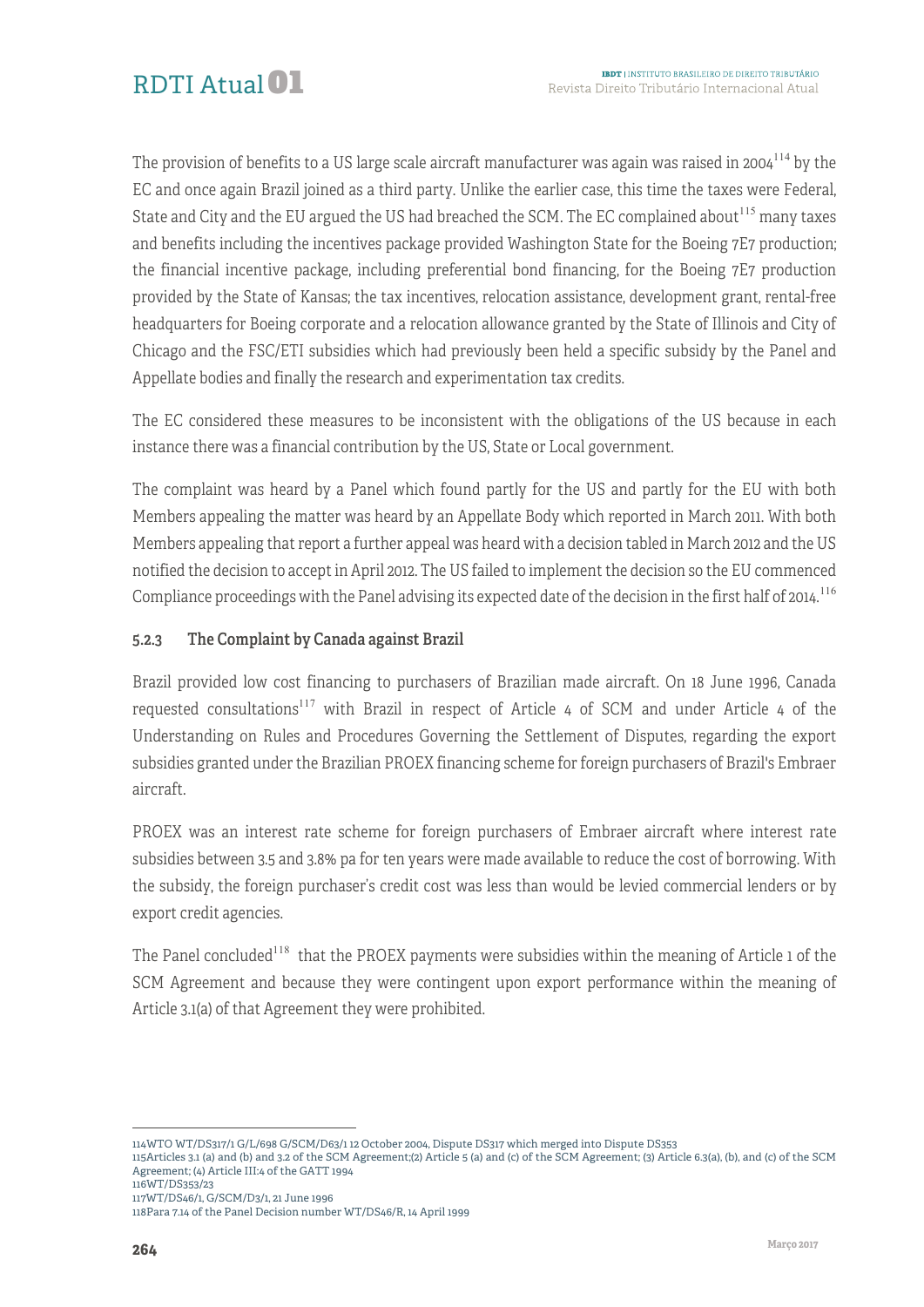The provision of benefits to a US large scale aircraft manufacturer was again was raised in 2004<sup>114</sup> by the EC and once again Brazil joined as a third party. Unlike the earlier case, this time the taxes were Federal, State and City and the EU argued the US had breached the SCM. The EC complained about<sup>115</sup> many taxes and benefits including the incentives package provided Washington State for the Boeing 7E7 production; the financial incentive package, including preferential bond financing, for the Boeing 7E7 production provided by the State of Kansas; the tax incentives, relocation assistance, development grant, rental-free headquarters for Boeing corporate and a relocation allowance granted by the State of Illinois and City of Chicago and the FSC/ETI subsidies which had previously been held a specific subsidy by the Panel and Appellate bodies and finally the research and experimentation tax credits.

The EC considered these measures to be inconsistent with the obligations of the US because in each instance there was a financial contribution by the US, State or Local government.

The complaint was heard by a Panel which found partly for the US and partly for the EU with both Members appealing the matter was heard by an Appellate Body which reported in March 2011. With both Members appealing that report a further appeal was heard with a decision tabled in March 2012 and the US notified the decision to accept in April 2012. The US failed to implement the decision so the EU commenced Compliance proceedings with the Panel advising its expected date of the decision in the first half of 2014.<sup>116</sup>

#### 5.2.3 The Complaint by Canada against Brazil

Brazil provided low cost financing to purchasers of Brazilian made aircraft. On 18 June 1996, Canada requested consultations<sup>117</sup> with Brazil in respect of Article 4 of SCM and under Article 4 of the Understanding on Rules and Procedures Governing the Settlement of Disputes, regarding the export subsidies granted under the Brazilian PROEX financing scheme for foreign purchasers of Brazil's Embraer aircraft.

PROEX was an interest rate scheme for foreign purchasers of Embraer aircraft where interest rate subsidies between 3.5 and 3.8% pa for ten years were made available to reduce the cost of borrowing. With the subsidy, the foreign purchaser's credit cost was less than would be levied commercial lenders or by export credit agencies.

The Panel concluded<sup>118</sup> that the PROEX payments were subsidies within the meaning of Article 1 of the SCM Agreement and because they were contingent upon export performance within the meaning of Article 3.1(a) of that Agreement they were prohibited.

<sup>1</sup> 114WTO WT/DS317/1 G/L/698 G/SCM/D63/1 12 October 2004, Dispute DS317 which merged into Dispute DS353

<sup>115</sup>Articles 3.1 (a) and (b) and 3.2 of the SCM Agreement;(2) Article 5 (a) and (c) of the SCM Agreement; (3) Article 6.3(a), (b), and (c) of the SCM Agreement; (4) Article III:4 of the GATT 1994

<sup>116</sup>WT/DS353/23

<sup>117</sup>WT/DS46/1, G/SCM/D3/1, 21 June 1996 118Para 7.14 of the Panel Decision number WT/DS46/R, 14 April 1999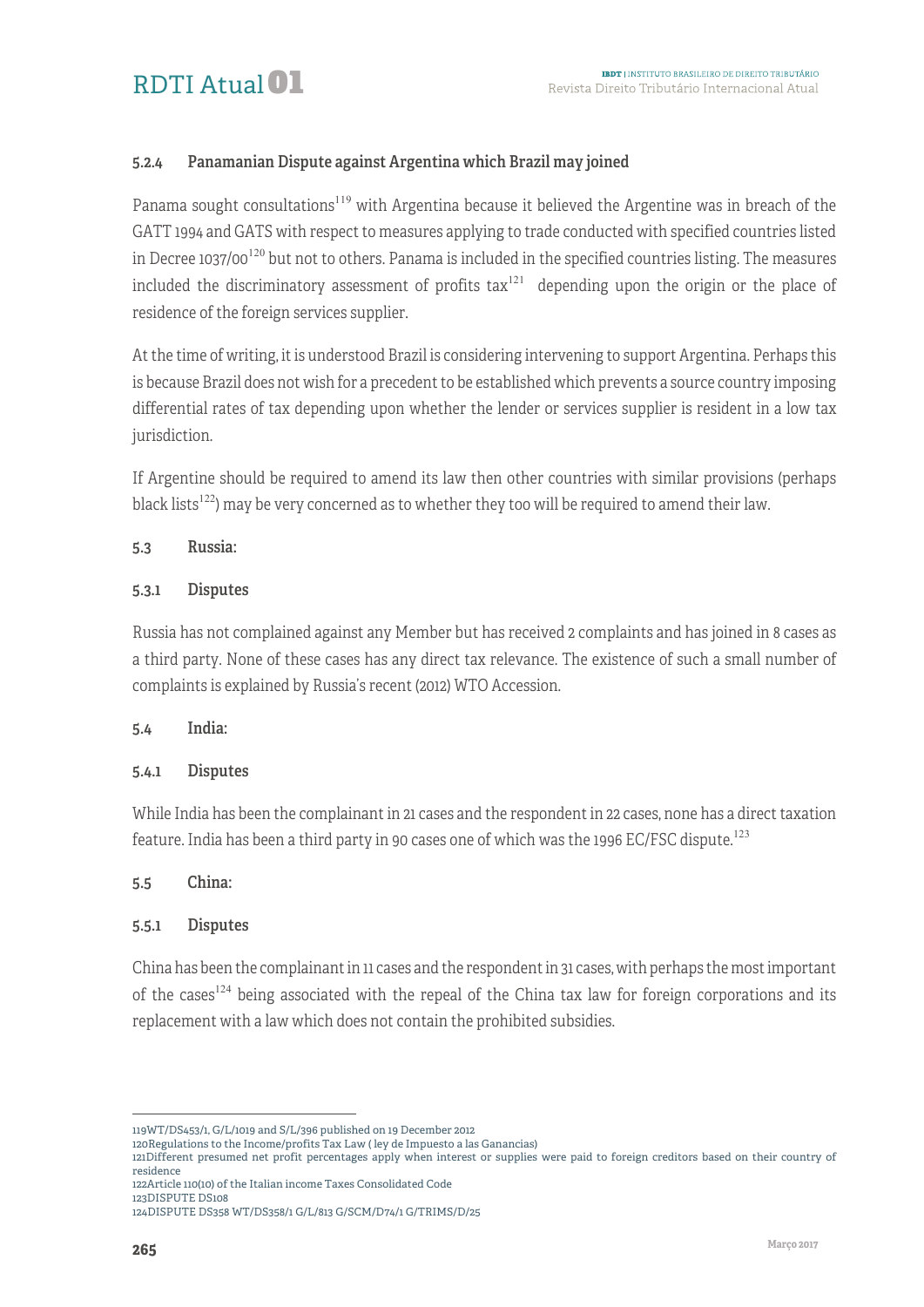#### 5.2.4 Panamanian Dispute against Argentina which Brazil may joined

Panama sought consultations<sup>119</sup> with Argentina because it believed the Argentine was in breach of the GATT 1994 and GATS with respect to measures applying to trade conducted with specified countries listed in Decree 1037/00<sup>120</sup> but not to others. Panama is included in the specified countries listing. The measures included the discriminatory assessment of profits  $\text{tax}^{121}$  depending upon the origin or the place of residence of the foreign services supplier.

At the time of writing, it is understood Brazil is considering intervening to support Argentina. Perhaps this is because Brazil does not wish for a precedent to be established which prevents a source country imposing differential rates of tax depending upon whether the lender or services supplier is resident in a low tax jurisdiction.

If Argentine should be required to amend its law then other countries with similar provisions (perhaps black lists<sup>122</sup>) may be very concerned as to whether they too will be required to amend their law.

#### 5.3 Russia:

#### 5.3.1 Disputes

Russia has not complained against any Member but has received 2 complaints and has joined in 8 cases as a third party. None of these cases has any direct tax relevance. The existence of such a small number of complaints is explained by Russia's recent (2012) WTO Accession.

#### 5.4 India:

#### 5.4.1 Disputes

While India has been the complainant in 21 cases and the respondent in 22 cases, none has a direct taxation feature. India has been a third party in 90 cases one of which was the 1996 EC/FSC dispute.<sup>123</sup>

#### 5.5 China:

#### 5.5.1 Disputes

China has been the complainant in 11 cases and the respondent in 31 cases, with perhaps the most important of the cases<sup>124</sup> being associated with the repeal of the China tax law for foreign corporations and its replacement with a law which does not contain the prohibited subsidies.

<sup>1</sup> 119WT/DS453/1, G/L/1019 and S/L/396 published on 19 December 2012

<sup>120</sup>Regulations to the Income/profits Tax Law ( ley de Impuesto a las Ganancias)

<sup>121</sup>Different presumed net profit percentages apply when interest or supplies were paid to foreign creditors based on their country of residence

<sup>122</sup>Article 110(10) of the Italian income Taxes Consolidated Code 123DISPUTE DS108

<sup>124</sup>DISPUTE DS358 WT/DS358/1 G/L/813 G/SCM/D74/1 G/TRIMS/D/25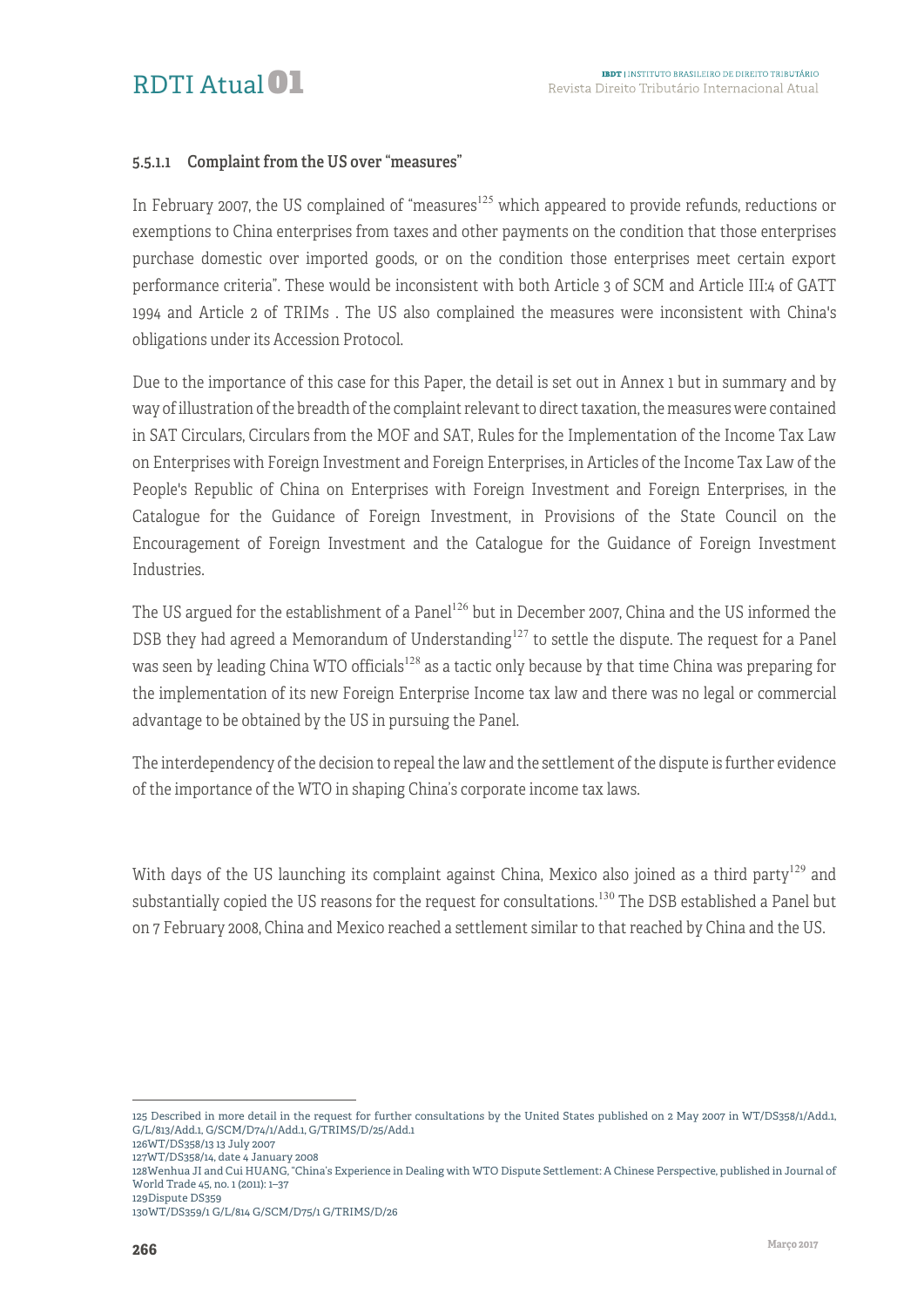

#### 5.5.1.1 Complaint from the US over "measures"

In February 2007, the US complained of "measures<sup>125</sup> which appeared to provide refunds, reductions or exemptions to China enterprises from taxes and other payments on the condition that those enterprises purchase domestic over imported goods, or on the condition those enterprises meet certain export performance criteria". These would be inconsistent with both Article 3 of SCM and Article III:4 of GATT 1994 and Article 2 of TRIMs . The US also complained the measures were inconsistent with China's obligations under its Accession Protocol.

Due to the importance of this case for this Paper, the detail is set out in Annex 1 but in summary and by way of illustration of the breadth of the complaint relevant to direct taxation, the measures were contained in SAT Circulars, Circulars from the MOF and SAT, Rules for the Implementation of the Income Tax Law on Enterprises with Foreign Investment and Foreign Enterprises, in Articles of the Income Tax Law of the People's Republic of China on Enterprises with Foreign Investment and Foreign Enterprises, in the Catalogue for the Guidance of Foreign Investment, in Provisions of the State Council on the Encouragement of Foreign Investment and the Catalogue for the Guidance of Foreign Investment Industries.

The US argued for the establishment of a Panel<sup>126</sup> but in December 2007, China and the US informed the DSB they had agreed a Memorandum of Understanding<sup>127</sup> to settle the dispute. The request for a Panel was seen by leading China WTO officials<sup>128</sup> as a tactic only because by that time China was preparing for the implementation of its new Foreign Enterprise Income tax law and there was no legal or commercial advantage to be obtained by the US in pursuing the Panel.

The interdependency of the decision to repeal the law and the settlement of the dispute is further evidence of the importance of the WTO in shaping China's corporate income tax laws.

With days of the US launching its complaint against China, Mexico also joined as a third party<sup>129</sup> and substantially copied the US reasons for the request for consultations.<sup>130</sup> The DSB established a Panel but on 7 February 2008, China and Mexico reached a settlement similar to that reached by China and the US.

128Wenhua JI and Cui HUANG, "China's Experience in Dealing with WTO Dispute Settlement: A Chinese Perspective, published in Journal of World Trade 45, no. 1 (2011): 1–37

<u>.</u>

<sup>125</sup> Described in more detail in the request for further consultations by the United States published on 2 May 2007 in WT/DS358/1/Add.1, G/L/813/Add.1, G/SCM/D74/1/Add.1, G/TRIMS/D/25/Add.1

<sup>126</sup>WT/DS358/13 13 July 2007

<sup>127</sup>WT/DS358/14, date 4 January 2008

<sup>129</sup>Dispute DS359 130WT/DS359/1 G/L/814 G/SCM/D75/1 G/TRIMS/D/26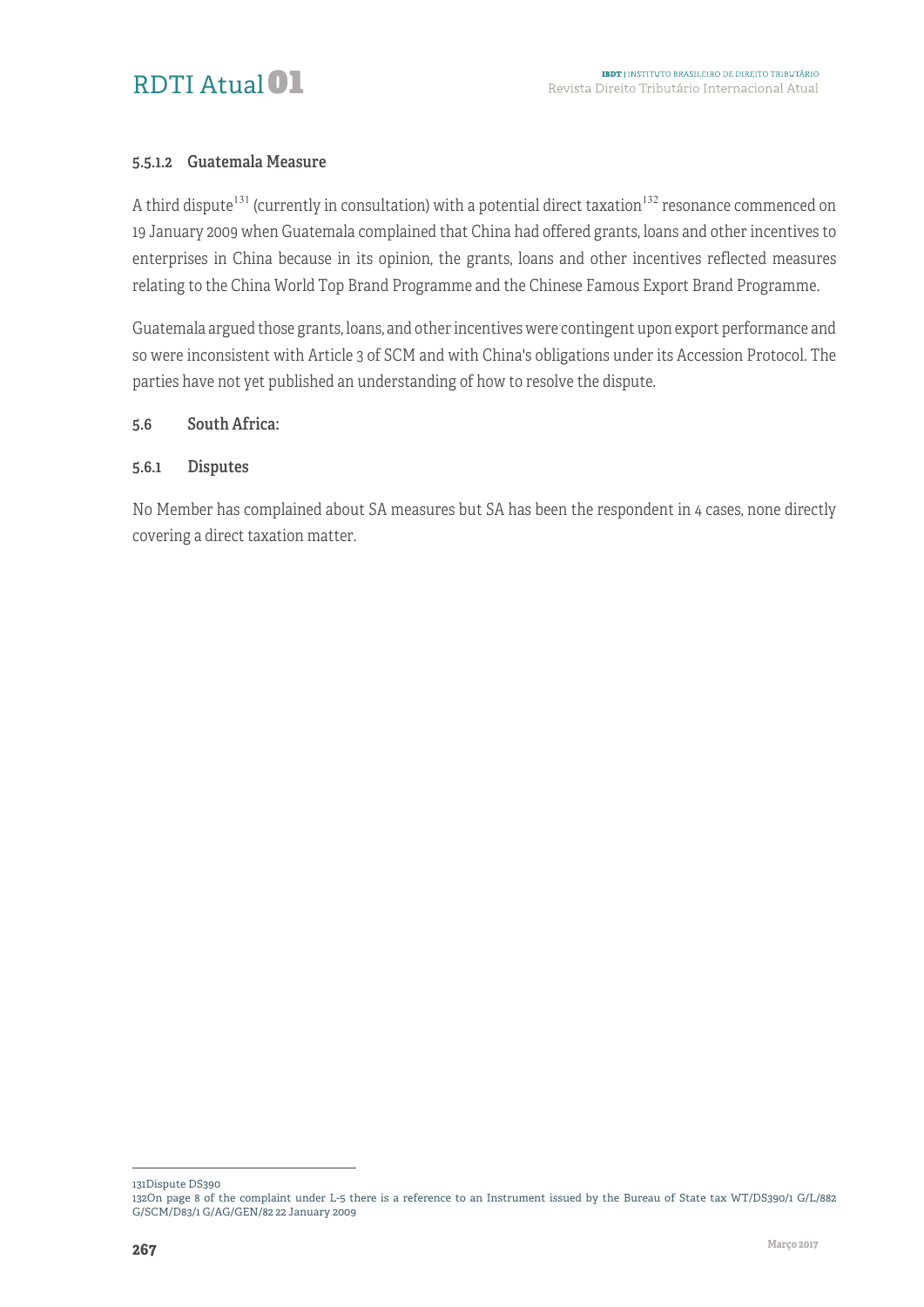

#### 5.5.1.2 Guatemala Measure

A third dispute<sup>131</sup> (currently in consultation) with a potential direct taxation<sup>132</sup> resonance commenced on 19 January 2009 when Guatemala complained that China had offered grants, loans and other incentives to enterprises in China because in its opinion, the grants, loans and other incentives reflected measures relating to the China World Top Brand Programme and the Chinese Famous Export Brand Programme.

Guatemala argued those grants, loans, and other incentives were contingent upon export performance and so were inconsistent with Article 3 of SCM and with China's obligations under its Accession Protocol. The parties have not yet published an understanding of how to resolve the dispute.

#### 5.6 South Africa:

#### 5.6.1 Disputes

No Member has complained about SA measures but SA has been the respondent in 4 cases, none directly covering a direct taxation matter.

1 131Dispute DS390

<sup>132</sup>On page 8 of the complaint under L-5 there is a reference to an Instrument issued by the Bureau of State tax WT/DS390/1 G/L/882 G/SCM/D83/1 G/AG/GEN/82 22 January 2009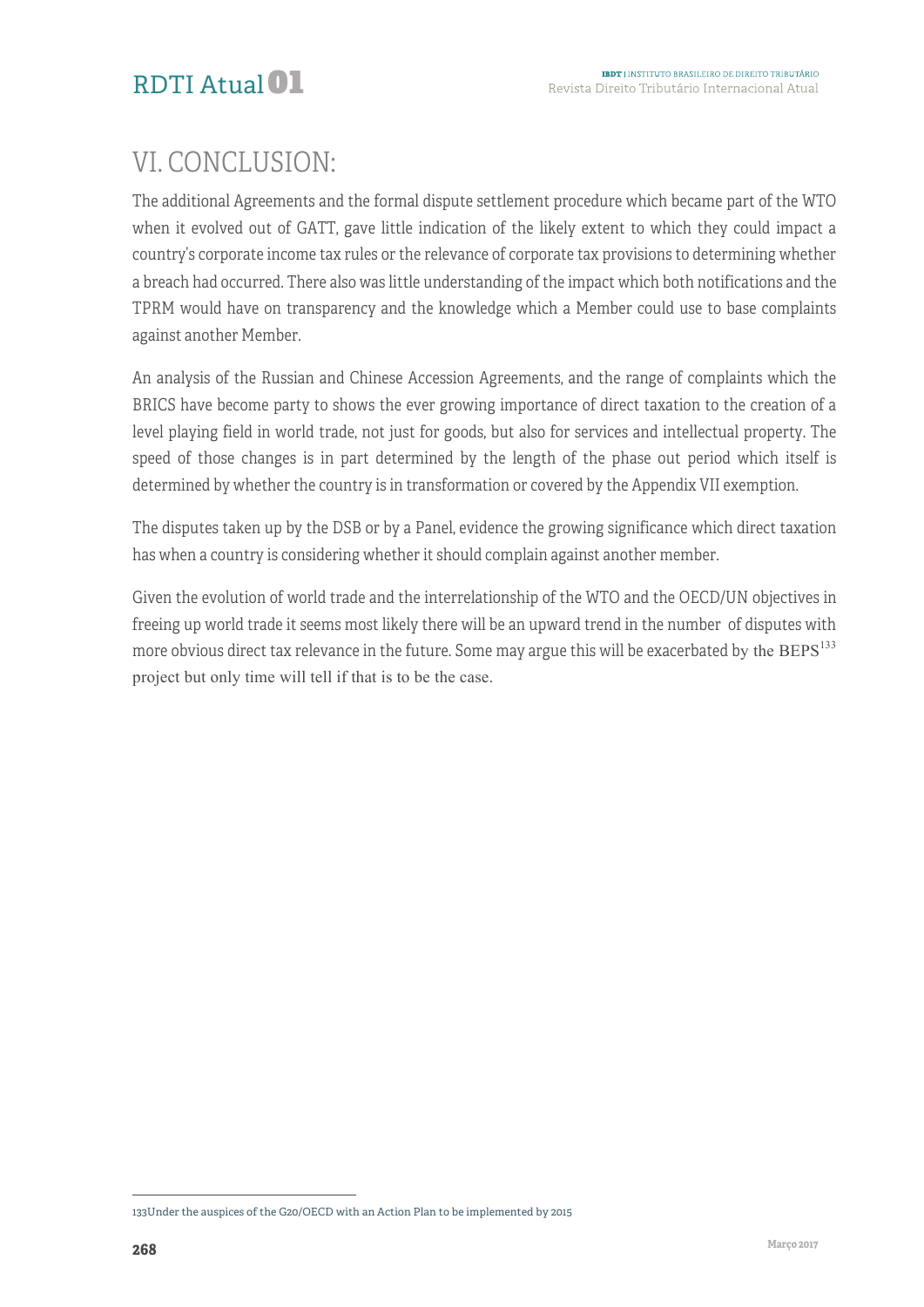# VI. CONCLUSION:

The additional Agreements and the formal dispute settlement procedure which became part of the WTO when it evolved out of GATT, gave little indication of the likely extent to which they could impact a country's corporate income tax rules or the relevance of corporate tax provisions to determining whether a breach had occurred. There also was little understanding of the impact which both notifications and the TPRM would have on transparency and the knowledge which a Member could use to base complaints against another Member.

An analysis of the Russian and Chinese Accession Agreements, and the range of complaints which the BRICS have become party to shows the ever growing importance of direct taxation to the creation of a level playing field in world trade, not just for goods, but also for services and intellectual property. The speed of those changes is in part determined by the length of the phase out period which itself is determined by whether the country is in transformation or covered by the Appendix VII exemption.

The disputes taken up by the DSB or by a Panel, evidence the growing significance which direct taxation has when a country is considering whether it should complain against another member.

Given the evolution of world trade and the interrelationship of the WTO and the OECD/UN objectives in freeing up world trade it seems most likely there will be an upward trend in the number of disputes with more obvious direct tax relevance in the future. Some may argue this will be exacerbated by the  $BEPS^{133}$ project but only time will tell if that is to be the case.

<sup>&</sup>lt;sup>-</sup> 133Under the auspices of the G20/OECD with an Action Plan to be implemented by 2015